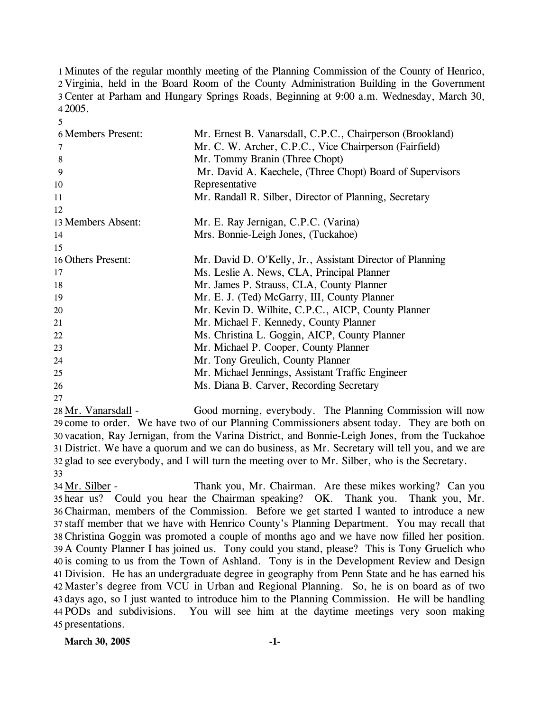Minutes of the regular monthly meeting of the Planning Commission of the County of Henrico, Virginia, held in the Board Room of the County Administration Building in the Government Center at Parham and Hungary Springs Roads, Beginning at 9:00 a.m. Wednesday, March 30, 4 2005.

| <b>6 Members Present:</b> | Mr. Ernest B. Vanarsdall, C.P.C., Chairperson (Brookland) |
|---------------------------|-----------------------------------------------------------|
| 7                         | Mr. C. W. Archer, C.P.C., Vice Chairperson (Fairfield)    |
| 8                         | Mr. Tommy Branin (Three Chopt)                            |
| 9                         | Mr. David A. Kaechele, (Three Chopt) Board of Supervisors |
| 10                        | Representative                                            |
| 11                        | Mr. Randall R. Silber, Director of Planning, Secretary    |
| 12                        |                                                           |
| 13 Members Absent:        | Mr. E. Ray Jernigan, C.P.C. (Varina)                      |
| 14                        | Mrs. Bonnie-Leigh Jones, (Tuckahoe)                       |
| 15                        |                                                           |
| 16 Others Present:        | Mr. David D. O'Kelly, Jr., Assistant Director of Planning |
| 17                        | Ms. Leslie A. News, CLA, Principal Planner                |
| 18                        | Mr. James P. Strauss, CLA, County Planner                 |
| 19                        | Mr. E. J. (Ted) McGarry, III, County Planner              |
| 20                        | Mr. Kevin D. Wilhite, C.P.C., AICP, County Planner        |
| 21                        | Mr. Michael F. Kennedy, County Planner                    |
| 22                        | Ms. Christina L. Goggin, AICP, County Planner             |
| 23                        | Mr. Michael P. Cooper, County Planner                     |
| 24                        | Mr. Tony Greulich, County Planner                         |
| 25                        | Mr. Michael Jennings, Assistant Traffic Engineer          |
| 26                        | Ms. Diana B. Carver, Recording Secretary                  |
| 27                        |                                                           |

Good morning, everybody. The Planning Commission will now 29 come to order. We have two of our Planning Commissioners absent today. They are both on 30 vacation, Ray Jernigan, from the Varina District, and Bonnie-Leigh Jones, from the Tuckahoe District. We have a quorum and we can do business, as Mr. Secretary will tell you, and we are 31 32 glad to see everybody, and I will turn the meeting over to Mr. Silber, who is the Secretary. 28 Mr. Vanarsdall -33

Thank you, Mr. Chairman. Are these mikes working? Can you 35 hear us? Could you hear the Chairman speaking? OK. Thank you. Thank you, Mr. Chairman, members of the Commission. Before we get started I wanted to introduce a new 36 37 staff member that we have with Henrico County's Planning Department. You may recall that Christina Goggin was promoted a couple of months ago and we have now filled her position. 38 39 A County Planner I has joined us. Tony could you stand, please? This is Tony Gruelich who 40 is coming to us from the Town of Ashland. Tony is in the Development Review and Design Division. He has an undergraduate degree in geography from Penn State and he has earned his 41 42 Master's degree from VCU in Urban and Regional Planning. So, he is on board as of two 43 days ago, so I just wanted to introduce him to the Planning Commission. He will be handling PODs and subdivisions. You will see him at the daytime meetings very soon making 44 45 presentations. 34 Mr. Silber -

5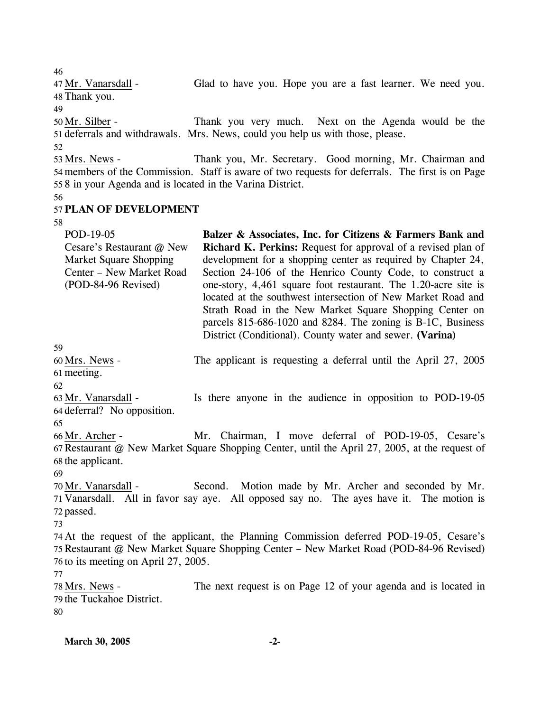Glad to have you. Hope you are a fast learner. We need you. 48 Thank you. 47 Mr. Vanarsdall -49 Thank you very much. Next on the Agenda would be the 51 deferrals and withdrawals. Mrs. News, could you help us with those, please. 50 Mr. Silber -52 Thank you, Mr. Secretary. Good morning, Mr. Chairman and 54 members of the Commission. Staff is aware of two requests for deferrals. The first is on Page 558 in your Agenda and is located in the Varina District. 53 Mrs. News -56 57 **PLAN OF DEVELOPMENT**  58 59 POD-19-05 Cesare's Restaurant @ New Market Square Shopping Center – New Market Road (POD-84-96 Revised) **Balzer & Associates, Inc. for Citizens & Farmers Bank and Richard K. Perkins:** Request for approval of a revised plan of development for a shopping center as required by Chapter 24, Section 24-106 of the Henrico County Code, to construct a one-story, 4,461 square foot restaurant. The 1.20-acre site is located at the southwest intersection of New Market Road and Strath Road in the New Market Square Shopping Center on parcels 815-686-1020 and 8284. The zoning is B-1C, Business District (Conditional). County water and sewer. **(Varina)**  The applicant is requesting a deferral until the April 27, 2005 61 meeting. 60 Mrs. News -62 Is there anyone in the audience in opposition to POD-19-05 64 deferral? No opposition. 63 Mr. Vanarsdall -65 Mr. Chairman, I move deferral of POD-19-05, Cesare's 67 Restaurant @ New Market Square Shopping Center, until the April 27, 2005, at the request of 66 Mr. Archer -

68 the applicant. 69

Second. Motion made by Mr. Archer and seconded by Mr. 71 Vanarsdall. All in favor say aye. All opposed say no. The ayes have it. The motion is 72 passed. 70 Mr. Vanarsdall -

73

46

74 At the request of the applicant, the Planning Commission deferred POD-19-05, Cesare's 75 Restaurant @ New Market Square Shopping Center – New Market Road (POD-84-96 Revised) 76 to its meeting on April 27, 2005.

77

The next request is on Page 12 of your agenda and is located in 79 the Tuckahoe District. 78 Mrs. News -80

**March 30, 2005** -2-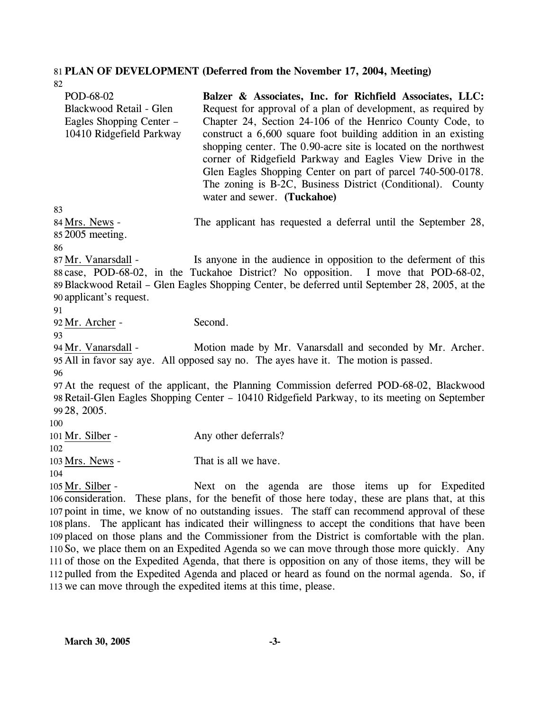# 81 **PLAN OF DEVELOPMENT (Deferred from the November 17, 2004, Meeting)**

| 82                                                                                           |                                                                                                                                                                                                                                                                                                                                                                                                                                                                                                                                                       |
|----------------------------------------------------------------------------------------------|-------------------------------------------------------------------------------------------------------------------------------------------------------------------------------------------------------------------------------------------------------------------------------------------------------------------------------------------------------------------------------------------------------------------------------------------------------------------------------------------------------------------------------------------------------|
| POD-68-02<br>Blackwood Retail - Glen<br>Eagles Shopping Center -<br>10410 Ridgefield Parkway | Balzer & Associates, Inc. for Richfield Associates, LLC:<br>Request for approval of a plan of development, as required by<br>Chapter 24, Section 24-106 of the Henrico County Code, to<br>construct a 6,600 square foot building addition in an existing<br>shopping center. The 0.90-acre site is located on the northwest<br>corner of Ridgefield Parkway and Eagles View Drive in the<br>Glen Eagles Shopping Center on part of parcel 740-500-0178.<br>The zoning is B-2C, Business District (Conditional). County<br>water and sewer. (Tuckahoe) |
| 83                                                                                           |                                                                                                                                                                                                                                                                                                                                                                                                                                                                                                                                                       |
| 84 Mrs. News -<br>85 2005 meeting.<br>86                                                     | The applicant has requested a deferral until the September 28,                                                                                                                                                                                                                                                                                                                                                                                                                                                                                        |
|                                                                                              |                                                                                                                                                                                                                                                                                                                                                                                                                                                                                                                                                       |
| 87 Mr. Vanarsdall -                                                                          | Is anyone in the audience in opposition to the deferment of this<br>88 case, POD-68-02, in the Tuckahoe District? No opposition. I move that POD-68-02,<br>89 Blackwood Retail – Glen Eagles Shopping Center, be deferred until September 28, 2005, at the                                                                                                                                                                                                                                                                                            |
| 90 applicant's request.                                                                      |                                                                                                                                                                                                                                                                                                                                                                                                                                                                                                                                                       |
| 91                                                                                           |                                                                                                                                                                                                                                                                                                                                                                                                                                                                                                                                                       |
| 92 Mr. Archer -                                                                              | Second.                                                                                                                                                                                                                                                                                                                                                                                                                                                                                                                                               |
| 93<br>94 Mr. Vanarsdall -                                                                    | Motion made by Mr. Vanarsdall and seconded by Mr. Archer.<br>95 All in favor say aye. All opposed say no. The ayes have it. The motion is passed.                                                                                                                                                                                                                                                                                                                                                                                                     |
| 96                                                                                           |                                                                                                                                                                                                                                                                                                                                                                                                                                                                                                                                                       |
|                                                                                              | 97 At the request of the applicant, the Planning Commission deferred POD-68-02, Blackwood<br>98 Retail-Glen Eagles Shopping Center – 10410 Ridgefield Parkway, to its meeting on September                                                                                                                                                                                                                                                                                                                                                            |
| 99 28, 2005.                                                                                 |                                                                                                                                                                                                                                                                                                                                                                                                                                                                                                                                                       |
| 100                                                                                          |                                                                                                                                                                                                                                                                                                                                                                                                                                                                                                                                                       |
| 101 Mr. Silber -                                                                             | Any other deferrals?                                                                                                                                                                                                                                                                                                                                                                                                                                                                                                                                  |
| 102                                                                                          |                                                                                                                                                                                                                                                                                                                                                                                                                                                                                                                                                       |
| 103 Mrs. News -                                                                              | That is all we have.                                                                                                                                                                                                                                                                                                                                                                                                                                                                                                                                  |
| 104                                                                                          |                                                                                                                                                                                                                                                                                                                                                                                                                                                                                                                                                       |
| 105 Mr. Silber -                                                                             | Next on the agenda are those items up for Expedited                                                                                                                                                                                                                                                                                                                                                                                                                                                                                                   |
|                                                                                              | 106 consideration. These plans, for the benefit of those here today, these are plans that, at this                                                                                                                                                                                                                                                                                                                                                                                                                                                    |
|                                                                                              | 107 point in time, we know of no outstanding issues. The staff can recommend approval of these                                                                                                                                                                                                                                                                                                                                                                                                                                                        |
|                                                                                              | 108 plans. The applicant has indicated their willingness to accept the conditions that have been                                                                                                                                                                                                                                                                                                                                                                                                                                                      |
|                                                                                              | 100 placed on these plane and the Commissioner from the District is comfortable with the plan                                                                                                                                                                                                                                                                                                                                                                                                                                                         |

109 placed on those plans and the Commissioner from the District is comfortable with the plan. 110 So, we place them on an Expedited Agenda so we can move through those more quickly. Any 111 of those on the Expedited Agenda, that there is opposition on any of those items, they will be 112 pulled from the Expedited Agenda and placed or heard as found on the normal agenda. So, if 113 we can move through the expedited items at this time, please.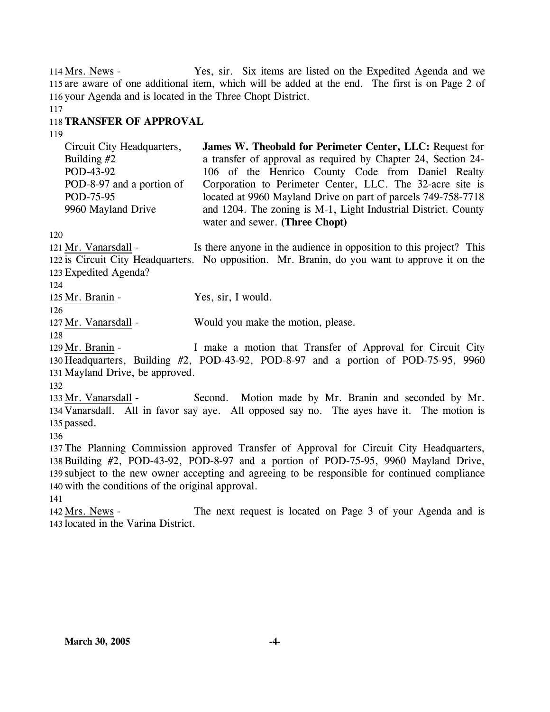Yes, sir. Six items are listed on the Expedited Agenda and we 115 are aware of one additional item, which will be added at the end. The first is on Page 2 of 116 your Agenda and is located in the Three Chopt District. 114 Mrs. News -

### 117

## 118 **TRANSFER OF APPROVAL**

119

Circuit City Headquarters, Building #2 POD-43-92 POD-8-97 and a portion of POD-75-95 9960 Mayland Drive **James W. Theobald for Perimeter Center, LLC:** Request for a transfer of approval as required by Chapter 24, Section 24- 106 of the Henrico County Code from Daniel Realty Corporation to Perimeter Center, LLC. The 32-acre site is located at 9960 Mayland Drive on part of parcels 749-758-7718 and 1204. The zoning is M-1, Light Industrial District. County water and sewer. **(Three Chopt)** 

120

Is there anyone in the audience in opposition to this project? This 122 is Circuit City Headquarters. No opposition. Mr. Branin, do you want to approve it on the Expedited Agenda? 123 121 Mr. Vanarsdall -

124

125 Mr. Branin - Yes, sir, I would.

126

127 Mr. Vanarsdall - Would you make the motion, please.

128

I make a motion that Transfer of Approval for Circuit City 130 Headquarters, Building #2, POD-43-92, POD-8-97 and a portion of POD-75-95, 9960 131 Mayland Drive, be approved. 129 Mr. Branin -

132

Second. Motion made by Mr. Branin and seconded by Mr. 134 Vanarsdall. All in favor say aye. All opposed say no. The ayes have it. The motion is 135 passed. 133 Mr. Vanarsdall -

136

 The Planning Commission approved Transfer of Approval for Circuit City Headquarters, Building #2, POD-43-92, POD-8-97 and a portion of POD-75-95, 9960 Mayland Drive, subject to the new owner accepting and agreeing to be responsible for continued compliance with the conditions of the original approval.

141

The next request is located on Page 3 of your Agenda and is 143 located in the Varina District. 142 Mrs. News -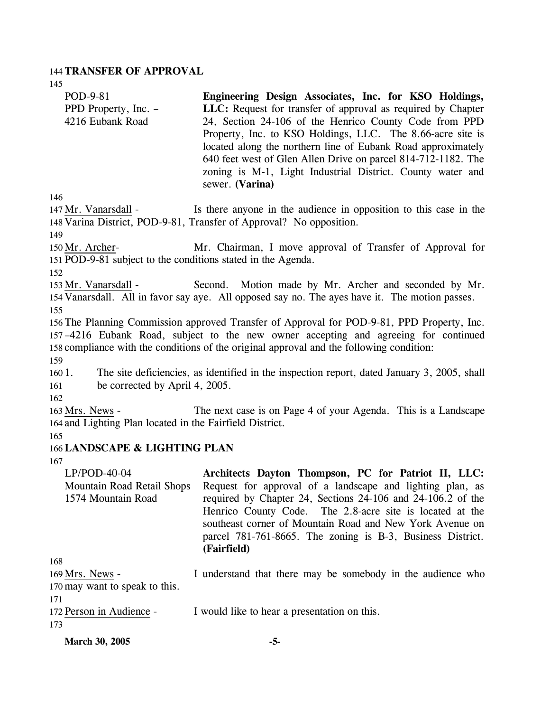#### 144 **TRANSFER OF APPROVAL**

145

| POD-9-81                                                     | Engineering Design Associates, Inc. for KSO Holdings,                                          |
|--------------------------------------------------------------|------------------------------------------------------------------------------------------------|
| PPD Property, Inc. –                                         | LLC: Request for transfer of approval as required by Chapter                                   |
| 4216 Eubank Road                                             | 24, Section 24-106 of the Henrico County Code from PPD                                         |
|                                                              | Property, Inc. to KSO Holdings, LLC. The 8.66-acre site is                                     |
|                                                              | located along the northern line of Eubank Road approximately                                   |
|                                                              | 640 feet west of Glen Allen Drive on parcel 814-712-1182. The                                  |
|                                                              | zoning is M-1, Light Industrial District. County water and<br>sewer. (Varina)                  |
| 146                                                          |                                                                                                |
| 147 Mr. Vanarsdall -                                         | Is there anyone in the audience in opposition to this case in the                              |
|                                                              | 148 Varina District, POD-9-81, Transfer of Approval? No opposition.                            |
| 149                                                          |                                                                                                |
| 150 Mr. Archer-                                              | Mr. Chairman, I move approval of Transfer of Approval for                                      |
| 151 POD-9-81 subject to the conditions stated in the Agenda. |                                                                                                |
| 152                                                          |                                                                                                |
| 153 Mr. Vanarsdall -                                         | Second. Motion made by Mr. Archer and seconded by Mr.                                          |
|                                                              | 154 Vanarsdall. All in favor say aye. All opposed say no. The ayes have it. The motion passes. |
| 155                                                          |                                                                                                |
|                                                              | 156 The Planning Commission approved Transfer of Approval for POD-9-81, PPD Property, Inc.     |
|                                                              | 157–4216 Eubank Road, subject to the new owner accepting and agreeing for continued            |
|                                                              | 158 compliance with the conditions of the original approval and the following condition:       |
| 159                                                          |                                                                                                |
| 1601.                                                        | The site deficiencies, as identified in the inspection report, dated January 3, 2005, shall    |
| be corrected by April 4, 2005.<br>161                        |                                                                                                |
| 162                                                          |                                                                                                |
| 163 Mrs. News -                                              | The next case is on Page 4 of your Agenda. This is a Landscape                                 |
| 164 and Lighting Plan located in the Fairfield District.     |                                                                                                |
| 165                                                          |                                                                                                |
| 166 LANDSCAPE & LIGHTING PLAN                                |                                                                                                |
| 167                                                          |                                                                                                |
| $LP/POD-40-04$                                               | Architects Dayton Thompson, PC for Patriot II, LLC:                                            |
| Mountain Road Retail Shops                                   | Request for approval of a landscape and lighting plan, as                                      |
| 1574 Mountain Road                                           | required by Chapter 24, Sections 24-106 and 24-106.2 of the                                    |
|                                                              | Henrico County Code. The 2.8-acre site is located at the                                       |
|                                                              | southeast corner of Mountain Road and New York Avenue on                                       |
|                                                              | parcel 781-761-8665. The zoning is B-3, Business District.                                     |
|                                                              | (Fairfield)                                                                                    |
| 168                                                          |                                                                                                |
| 169 Mrs. News -                                              | I understand that there may be somebody in the audience who                                    |

170 may want to speak to this.

| -171                     |                                              |
|--------------------------|----------------------------------------------|
| 172 Person in Audience - | I would like to hear a presentation on this. |

173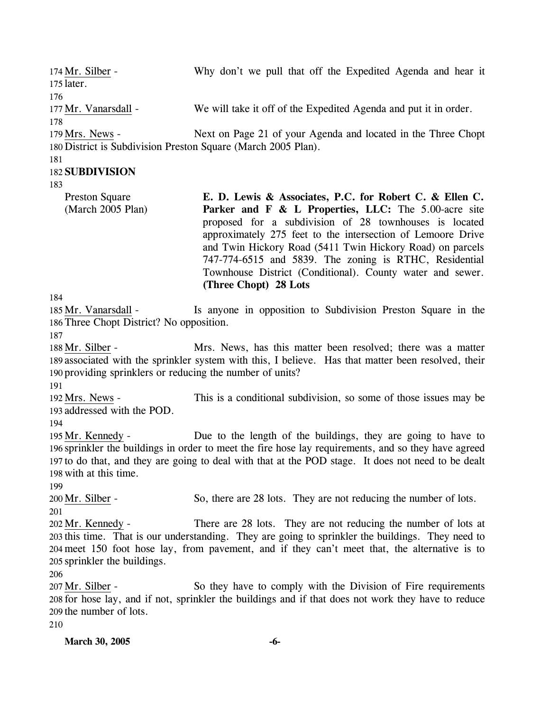| 174 Mr. Silber -<br>175 later.                                          | Why don't we pull that off the Expedited Agenda and hear it                                                                                                                                                                                                                                                                                                                                                                                           |
|-------------------------------------------------------------------------|-------------------------------------------------------------------------------------------------------------------------------------------------------------------------------------------------------------------------------------------------------------------------------------------------------------------------------------------------------------------------------------------------------------------------------------------------------|
| 176<br>177 Mr. Vanarsdall -<br>178                                      | We will take it off of the Expedited Agenda and put it in order.                                                                                                                                                                                                                                                                                                                                                                                      |
| 179 Mrs. News -<br>181                                                  | Next on Page 21 of your Agenda and located in the Three Chopt<br>180 District is Subdivision Preston Square (March 2005 Plan).                                                                                                                                                                                                                                                                                                                        |
| <b>182 SUBDIVISION</b>                                                  |                                                                                                                                                                                                                                                                                                                                                                                                                                                       |
| 183<br><b>Preston Square</b><br>(March 2005 Plan)                       | E. D. Lewis & Associates, P.C. for Robert C. & Ellen C.<br>Parker and F & L Properties, LLC: The 5.00-acre site<br>proposed for a subdivision of 28 townhouses is located<br>approximately 275 feet to the intersection of Lemoore Drive<br>and Twin Hickory Road (5411 Twin Hickory Road) on parcels<br>747-774-6515 and 5839. The zoning is RTHC, Residential<br>Townhouse District (Conditional). County water and sewer.<br>(Three Chopt) 28 Lots |
| 184<br>185 Mr. Vanarsdall -<br>186 Three Chopt District? No opposition. | Is anyone in opposition to Subdivision Preston Square in the                                                                                                                                                                                                                                                                                                                                                                                          |
| 187<br>188 Mr. Silber -                                                 | Mrs. News, has this matter been resolved; there was a matter<br>189 associated with the sprinkler system with this, I believe. Has that matter been resolved, their<br>190 providing sprinklers or reducing the number of units?                                                                                                                                                                                                                      |
| 191<br>192 Mrs. News -<br>193 addressed with the POD.<br>194            | This is a conditional subdivision, so some of those issues may be                                                                                                                                                                                                                                                                                                                                                                                     |
| 195 Mr. Kennedy -<br>198 with at this time.<br>199                      | Due to the length of the buildings, they are going to have to<br>196 sprinkler the buildings in order to meet the fire hose lay requirements, and so they have agreed<br>197 to do that, and they are going to deal with that at the POD stage. It does not need to be dealt                                                                                                                                                                          |
| 200 Mr. Silber -<br>201                                                 | So, there are 28 lots. They are not reducing the number of lots.                                                                                                                                                                                                                                                                                                                                                                                      |
| 202 Mr. Kennedy -<br>205 sprinkler the buildings.<br>206                | There are 28 lots. They are not reducing the number of lots at<br>203 this time. That is our understanding. They are going to sprinkler the buildings. They need to<br>204 meet 150 foot hose lay, from pavement, and if they can't meet that, the alternative is to                                                                                                                                                                                  |
| 207 Mr. Silber -<br>209 the number of lots.<br>210                      | So they have to comply with the Division of Fire requirements<br>208 for hose lay, and if not, sprinkler the buildings and if that does not work they have to reduce                                                                                                                                                                                                                                                                                  |
| March 30, 2005                                                          | -6-                                                                                                                                                                                                                                                                                                                                                                                                                                                   |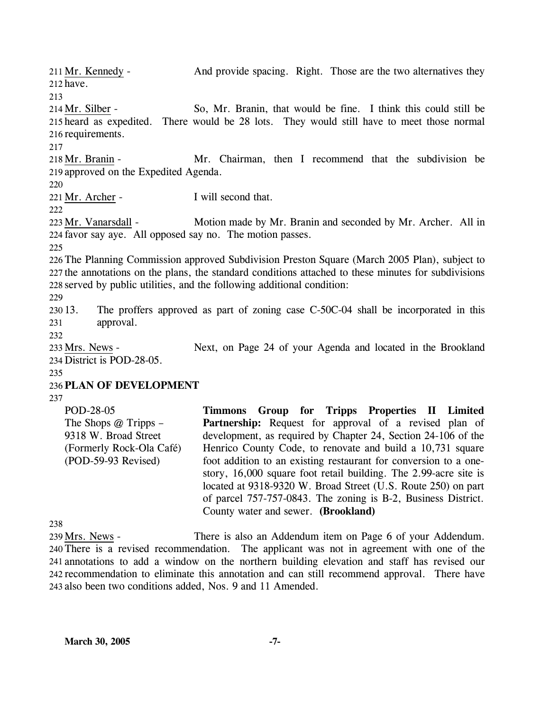And provide spacing. Right. Those are the two alternatives they 212 have. 211 Mr. Kennedy -213 So, Mr. Branin, that would be fine. I think this could still be 215 heard as expedited. There would be 28 lots. They would still have to meet those normal 216 requirements. 214 Mr. Silber -217 Mr. Chairman, then I recommend that the subdivision be 219 approved on the Expedited Agenda. 218 Mr. Branin -220 221 Mr. Archer - I will second that. 222 Motion made by Mr. Branin and seconded by Mr. Archer. All in 224 favor say aye. All opposed say no. The motion passes. 223 Mr. Vanarsdall -225 226 The Planning Commission approved Subdivision Preston Square (March 2005 Plan), subject to 227 the annotations on the plans, the standard conditions attached to these minutes for subdivisions 228 served by public utilities, and the following additional condition: 229 230 13. 231 232 The proffers approved as part of zoning case C-50C-04 shall be incorporated in this approval. Next, on Page 24 of your Agenda and located in the Brookland 234 District is POD-28-05. 233 Mrs. News -235 236 **PLAN OF DEVELOPMENT**  237 POD-28-05 The Shops @ Tripps – **Timmons Group for Tripps Properties II Limited**  Partnership: Request for approval of a revised plan of

9318 W. Broad Street (Formerly Rock-Ola Café) (POD-59-93 Revised) development, as required by Chapter 24, Section 24-106 of the Henrico County Code, to renovate and build a 10,731 square foot addition to an existing restaurant for conversion to a onestory, 16,000 square foot retail building. The 2.99-acre site is located at 9318-9320 W. Broad Street (U.S. Route 250) on part of parcel 757-757-0843. The zoning is B-2, Business District. County water and sewer. **(Brookland)** 

238

There is also an Addendum item on Page 6 of your Addendum. 240 There is a revised recommendation. The applicant was not in agreement with one of the 241 annotations to add a window on the northern building elevation and staff has revised our 242 recommendation to eliminate this annotation and can still recommend approval. There have 243 also been two conditions added, Nos. 9 and 11 Amended. 239 Mrs. News -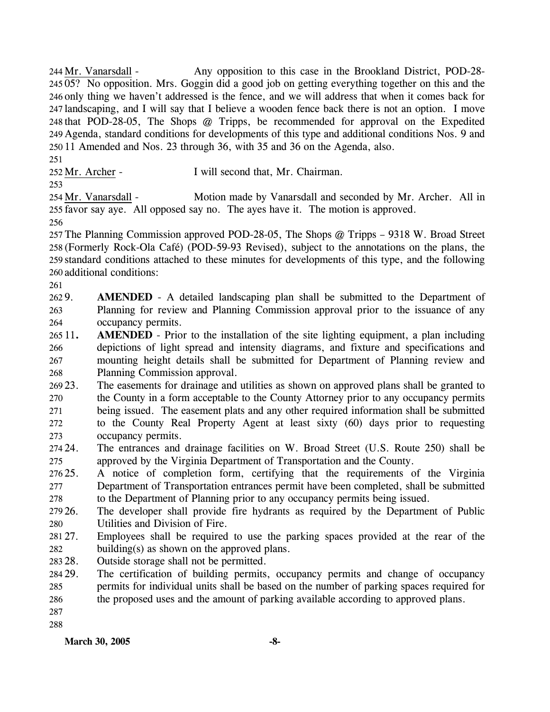Any opposition to this case in the Brookland District, POD-28-245 05? No opposition. Mrs. Goggin did a good job on getting everything together on this and the 246 only thing we haven't addressed is the fence, and we will address that when it comes back for 247 landscaping, and I will say that I believe a wooden fence back there is not an option. I move 248 that POD-28-05, The Shops @ Tripps, be recommended for approval on the Expedited 249 Agenda, standard conditions for developments of this type and additional conditions Nos. 9 and 250 11 Amended and Nos. 23 through 36, with 35 and 36 on the Agenda, also. 244 Mr. Vanarsdall -

251

252 Mr. Archer - I will second that, Mr. Chairman.

253

Motion made by Vanarsdall and seconded by Mr. Archer. All in 255 favor say aye. All opposed say no. The ayes have it. The motion is approved. 254 Mr. Vanarsdall -256

 The Planning Commission approved POD-28-05, The Shops @ Tripps – 9318 W. Broad Street (Formerly Rock-Ola Café) (POD-59-93 Revised), subject to the annotations on the plans, the standard conditions attached to these minutes for developments of this type, and the following additional conditions:

261

262.9 263 264 **AMENDED** - A detailed landscaping plan shall be submitted to the Department of Planning for review and Planning Commission approval prior to the issuance of any occupancy permits.

- $26511.$ 266 267 268 **AMENDED** - Prior to the installation of the site lighting equipment, a plan including depictions of light spread and intensity diagrams, and fixture and specifications and mounting height details shall be submitted for Department of Planning review and Planning Commission approval.
- 269 23. 270 271 272 273 The easements for drainage and utilities as shown on approved plans shall be granted to the County in a form acceptable to the County Attorney prior to any occupancy permits being issued. The easement plats and any other required information shall be submitted to the County Real Property Agent at least sixty (60) days prior to requesting occupancy permits.
- 274 24. 275 24. The entrances and drainage facilities on W. Broad Street (U.S. Route 250) shall be approved by the Virginia Department of Transportation and the County.
- 276 25. 277 278 25. A notice of completion form, certifying that the requirements of the Virginia Department of Transportation entrances permit have been completed, shall be submitted to the Department of Planning prior to any occupancy permits being issued.

279 26. 280 The developer shall provide fire hydrants as required by the Department of Public Utilities and Division of Fire.

- 281 27 282 Employees shall be required to use the parking spaces provided at the rear of the building(s) as shown on the approved plans.
- 283. Outside storage shall not be permitted.
- 284 29. 285 286 The certification of building permits, occupancy permits and change of occupancy permits for individual units shall be based on the number of parking spaces required for the proposed uses and the amount of parking available according to approved plans.

287 288

**March 30, 2005** -8-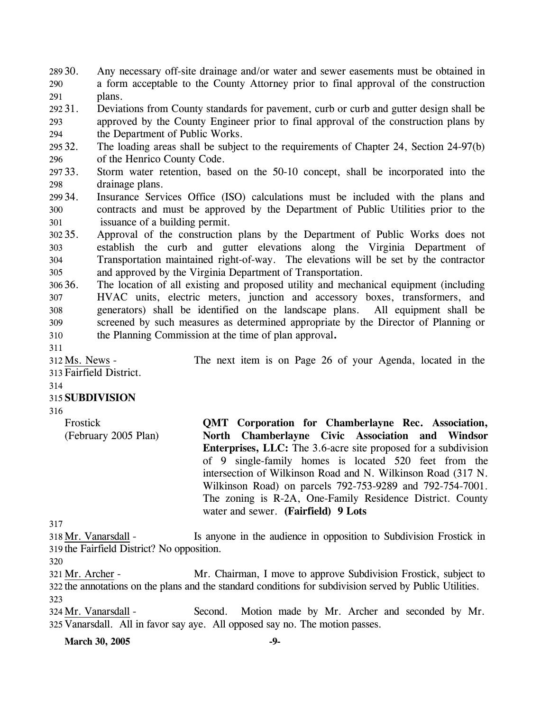- 289 30. 290 291 Any necessary off-site drainage and/or water and sewer easements must be obtained in a form acceptable to the County Attorney prior to final approval of the construction plans.
- 292 31. 293 294 Deviations from County standards for pavement, curb or curb and gutter design shall be approved by the County Engineer prior to final approval of the construction plans by the Department of Public Works.
- 295 32. 296 The loading areas shall be subject to the requirements of Chapter 24, Section 24-97(b) of the Henrico County Code.
- 297 33. 298 Storm water retention, based on the 50-10 concept, shall be incorporated into the drainage plans.
- 299 34. 300 301 Insurance Services Office (ISO) calculations must be included with the plans and contracts and must be approved by the Department of Public Utilities prior to the issuance of a building permit.
- $302.35$ . 303 304 305 Approval of the construction plans by the Department of Public Works does not establish the curb and gutter elevations along the Virginia Department of Transportation maintained right-of-way. The elevations will be set by the contractor and approved by the Virginia Department of Transportation.
- 306 36. 307 308 309 310 The location of all existing and proposed utility and mechanical equipment (including HVAC units, electric meters, junction and accessory boxes, transformers, and generators) shall be identified on the landscape plans. All equipment shall be screened by such measures as determined appropriate by the Director of Planning or the Planning Commission at the time of plan approval**.**
- 311

The next item is on Page 26 of your Agenda, located in the 312 Ms. News -

Fairfield District. 313

# 315 **SUBDIVISION**

316

314

Frostick (February 2005 Plan) **QMT Corporation for Chamberlayne Rec. Association, North Chamberlayne Civic Association and Windsor Enterprises, LLC:** The 3.6-acre site proposed for a subdivision of 9 single-family homes is located 520 feet from the intersection of Wilkinson Road and N. Wilkinson Road (317 N. Wilkinson Road) on parcels 792-753-9289 and 792-754-7001. The zoning is R-2A, One-Family Residence District. County water and sewer. **(Fairfield) 9 Lots** 

317

Is anyone in the audience in opposition to Subdivision Frostick in 319 the Fairfield District? No opposition. 318 Mr. Vanarsdall -

320

Mr. Chairman, I move to approve Subdivision Frostick, subject to 322 the annotations on the plans and the standard conditions for subdivision served by Public Utilities. 321 Mr. Archer -323

Second. Motion made by Mr. Archer and seconded by Mr. 325 Vanarsdall. All in favor say aye. All opposed say no. The motion passes. 324 Mr. Vanarsdall -

**March 30, 2005** -9-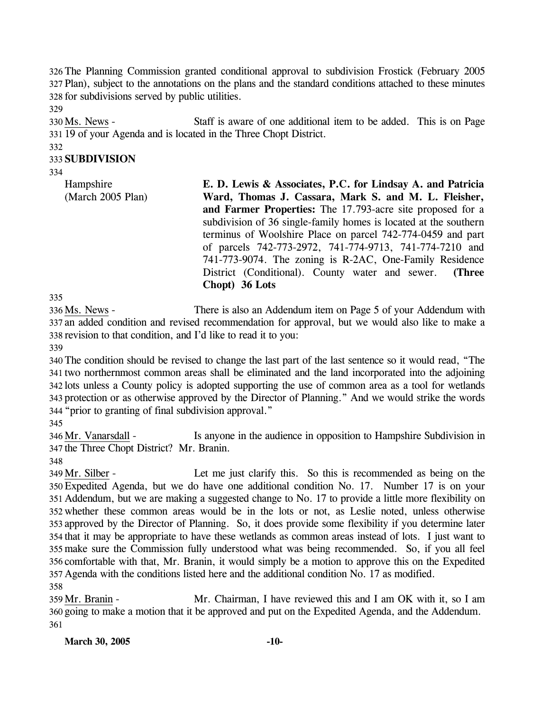326 The Planning Commission granted conditional approval to subdivision Frostick (February 2005 327 Plan), subject to the annotations on the plans and the standard conditions attached to these minutes 328 for subdivisions served by public utilities.

329

Staff is aware of one additional item to be added. This is on Page 19 of your Agenda and is located in the Three Chopt District. 331 330 Ms. News -

#### 332 333 **SUBDIVISION**

334

Hampshire (March 2005 Plan) **E. D. Lewis & Associates, P.C. for Lindsay A. and Patricia Ward, Thomas J. Cassara, Mark S. and M. L. Fleisher, and Farmer Properties:** The 17.793-acre site proposed for a subdivision of 36 single-family homes is located at the southern terminus of Woolshire Place on parcel 742-774-0459 and part of parcels 742-773-2972, 741-774-9713, 741-774-7210 and 741-773-9074. The zoning is R-2AC, One-Family Residence District (Conditional). County water and sewer. **(Three Chopt) 36 Lots** 

335

There is also an Addendum item on Page 5 of your Addendum with 337 an added condition and revised recommendation for approval, but we would also like to make a 338 revision to that condition, and I'd like to read it to you: 336 Ms. News -

339

 The condition should be revised to change the last part of the last sentence so it would read, "The two northernmost common areas shall be eliminated and the land incorporated into the adjoining lots unless a County policy is adopted supporting the use of common area as a tool for wetlands protection or as otherwise approved by the Director of Planning." And we would strike the words "prior to granting of final subdivision approval."

345

Is anyone in the audience in opposition to Hampshire Subdivision in 347 the Three Chopt District? Mr. Branin. 346 Mr. Vanarsdall -

348

Let me just clarify this. So this is recommended as being on the Expedited Agenda, but we do have one additional condition No. 17. Number 17 is on your 350 Addendum, but we are making a suggested change to No. 17 to provide a little more flexibility on 351 whether these common areas would be in the lots or not, as Leslie noted, unless otherwise 352 353 approved by the Director of Planning. So, it does provide some flexibility if you determine later 354 that it may be appropriate to have these wetlands as common areas instead of lots. I just want to make sure the Commission fully understood what was being recommended. So, if you all feel 355 356 comfortable with that, Mr. Branin, it would simply be a motion to approve this on the Expedited Agenda with the conditions listed here and the additional condition No. 17 as modified. 357 349 Mr. Silber -358

Mr. Chairman, I have reviewed this and I am OK with it, so I am 360 going to make a motion that it be approved and put on the Expedited Agenda, and the Addendum. 359 Mr. Branin -361

**March 30, 2005 -10-**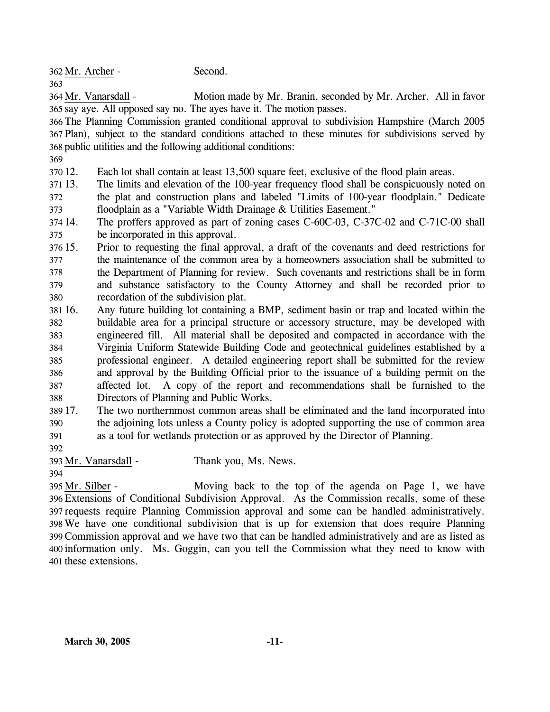362 Mr. Archer - Second. 363

Motion made by Mr. Branin, seconded by Mr. Archer. All in favor 365 say aye. All opposed say no. The ayes have it. The motion passes. 364 Mr. Vanarsdall -

366 The Planning Commission granted conditional approval to subdivision Hampshire (March 2005 367 Plan), subject to the standard conditions attached to these minutes for subdivisions served by 368 public utilities and the following additional conditions:

369

370 12. Each lot shall contain at least 13,500 square feet, exclusive of the flood plain areas.

371 13. 372 373 The limits and elevation of the 100-year frequency flood shall be conspicuously noted on the plat and construction plans and labeled "Limits of 100-year floodplain." Dedicate floodplain as a "Variable Width Drainage & Utilities Easement."

374 14. 375 The proffers approved as part of zoning cases C-60C-03, C-37C-02 and C-71C-00 shall be incorporated in this approval.

376 15. 377 378 379 380 15. Prior to requesting the final approval, a draft of the covenants and deed restrictions for the maintenance of the common area by a homeowners association shall be submitted to the Department of Planning for review. Such covenants and restrictions shall be in form and substance satisfactory to the County Attorney and shall be recorded prior to recordation of the subdivision plat.

381 16. 382 383 384 385 386 387 388 16. Any future building lot containing a BMP, sediment basin or trap and located within the buildable area for a principal structure or accessory structure, may be developed with engineered fill. All material shall be deposited and compacted in accordance with the Virginia Uniform Statewide Building Code and geotechnical guidelines established by a professional engineer. A detailed engineering report shall be submitted for the review and approval by the Building Official prior to the issuance of a building permit on the affected lot. A copy of the report and recommendations shall be furnished to the Directors of Planning and Public Works.

389 17. 390 391 The two northernmost common areas shall be eliminated and the land incorporated into the adjoining lots unless a County policy is adopted supporting the use of common area as a tool for wetlands protection or as approved by the Director of Planning.

392

394

393 Mr. Vanarsdall - Thank you, Ms. News.

Moving back to the top of the agenda on Page 1, we have Extensions of Conditional Subdivision Approval. As the Commission recalls, some of these 396 397 requests require Planning Commission approval and some can be handled administratively. We have one conditional subdivision that is up for extension that does require Planning 398 Commission approval and we have two that can be handled administratively and are as listed as 399 400 information only. Ms. Goggin, can you tell the Commission what they need to know with 401 these extensions. 395 Mr. Silber -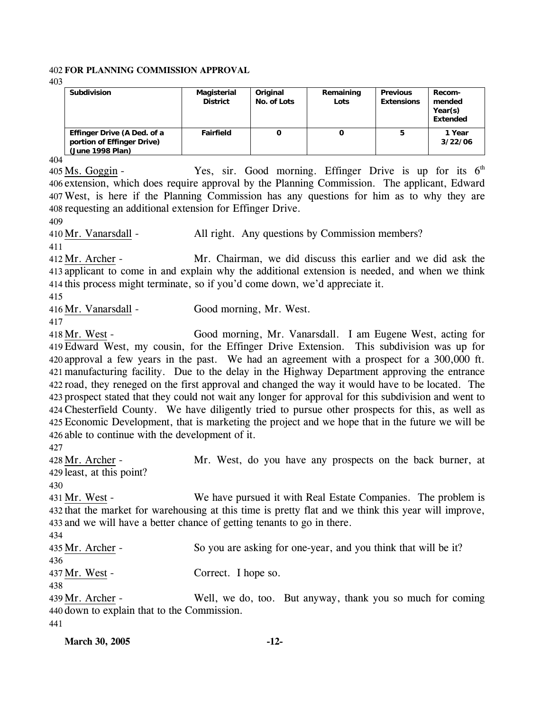#### 402 **FOR PLANNING COMMISSION APPROVAL**

403

| <b>Subdivision</b>                                                            | Magisterial<br><b>District</b> | Original<br>No. of Lots | Remaining<br>Lots | <b>Previous</b><br><b>Extensions</b> | Recom-<br>mended<br>Year(s)<br>Extended |
|-------------------------------------------------------------------------------|--------------------------------|-------------------------|-------------------|--------------------------------------|-----------------------------------------|
| Effinger Drive (A Ded. of a<br>portion of Effinger Drive)<br>(June 1998 Plan) | Fairfield                      | 0                       |                   | 5                                    | 1 Year<br>3/22/06                       |

404

Yes, sir. Good morning. Effinger Drive is up for its  $6<sup>th</sup>$ 406 extension, which does require approval by the Planning Commission. The applicant, Edward West, is here if the Planning Commission has any questions for him as to why they are 407 408 requesting an additional extension for Effinger Drive. 405 Ms. Goggin -

409

411

410 Mr. Vanarsdall - All right. Any questions by Commission members?

Mr. Chairman, we did discuss this earlier and we did ask the 413 applicant to come in and explain why the additional extension is needed, and when we think 414 this process might terminate, so if you'd come down, we'd appreciate it.  $412$  Mr. Archer -

415

416 Mr. Vanarsdall - Good morning, Mr. West.

417

Good morning, Mr. Vanarsdall. I am Eugene West, acting for Edward West, my cousin, for the Effinger Drive Extension. This subdivision was up for 419 420 approval a few years in the past. We had an agreement with a prospect for a 300,000 ft. manufacturing facility. Due to the delay in the Highway Department approving the entrance 421 422 road, they reneged on the first approval and changed the way it would have to be located. The 423 prospect stated that they could not wait any longer for approval for this subdivision and went to Chesterfield County. We have diligently tried to pursue other prospects for this, as well as 424 Economic Development, that is marketing the project and we hope that in the future we will be 425 426 able to continue with the development of it. 418 Mr. West -

427

Mr. West, do you have any prospects on the back burner, at 429 least, at this point? 428 Mr. Archer -

430

We have pursued it with Real Estate Companies. The problem is 432 that the market for warehousing at this time is pretty flat and we think this year will improve, 433 and we will have a better chance of getting tenants to go in there. 431 Mr. West -

434

435 Mr. Archer - So you are asking for one-year, and you think that will be it? 436 437 Mr. West - Correct. I hope so. 438 Well, we do, too. But anyway, thank you so much for coming 439 Mr. Archer -

440 down to explain that to the Commission.

441

| <b>March 30, 2005</b> | $-12-$ |
|-----------------------|--------|
|                       |        |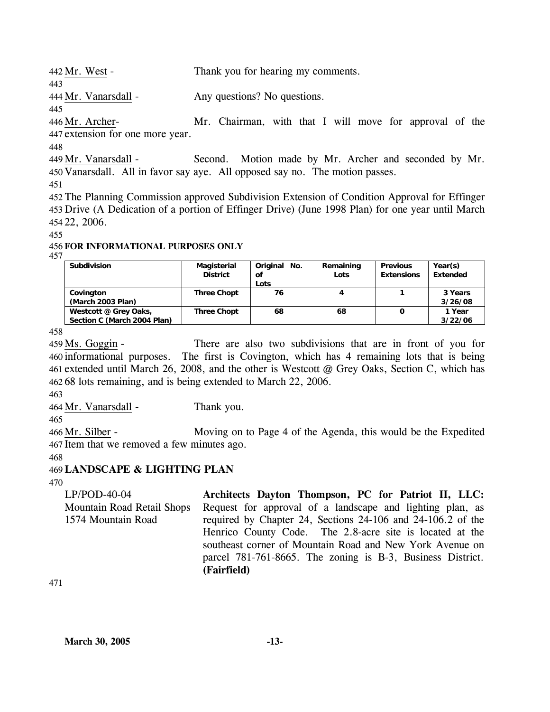442 Mr. West - Thank you for hearing my comments.

444 Mr. Vanarsdall - Any questions? No questions.

445

443

Mr. Chairman, with that I will move for approval of the 447 extension for one more year. 446 Mr. Archer-

448

Second. Motion made by Mr. Archer and seconded by Mr. 450 Vanarsdall. All in favor say aye. All opposed say no. The motion passes. 449 Mr. Vanarsdall -

451

452 The Planning Commission approved Subdivision Extension of Condition Approval for Effinger 453 Drive (A Dedication of a portion of Effinger Drive) (June 1998 Plan) for one year until March 454 22, 2006.

455

### 456 **FOR INFORMATIONAL PURPOSES ONLY**

457

| <b>Subdivision</b>          | Magisterial<br><b>District</b> | Original<br>No.<br>οf<br>Lots | Remaining<br>Lots | <b>Previous</b><br><b>Extensions</b> | Year(s)<br><b>Extended</b> |
|-----------------------------|--------------------------------|-------------------------------|-------------------|--------------------------------------|----------------------------|
| Covington                   | <b>Three Chopt</b>             | 76                            |                   |                                      | 3 Years                    |
| (March 2003 Plan)           |                                |                               |                   |                                      | 3/26/08                    |
| Westcott @ Grey Oaks,       | <b>Three Chopt</b>             | 68                            | 68                | 0                                    | 1 Year                     |
| Section C (March 2004 Plan) |                                |                               |                   |                                      | 3/22/06                    |

458

There are also two subdivisions that are in front of you for 460 informational purposes. The first is Covington, which has 4 remaining lots that is being 461 extended until March 26, 2008, and the other is Westcott @ Grey Oaks, Section C, which has 68 lots remaining, and is being extended to March 22, 2006. 462  $459$  Ms. Goggin -

463

464 Mr. Vanarsdall - Thank you.

465

Moving on to Page 4 of the Agenda, this would be the Expedited 467 Item that we removed a few minutes ago. 466 Mr. Silber -

468

# 469 **LANDSCAPE & LIGHTING PLAN**

470

LP/POD-40-04 Mountain Road Retail Shops 1574 Mountain Road **Architects Dayton Thompson, PC for Patriot II, LLC:**  Request for approval of a landscape and lighting plan, as required by Chapter 24, Sections 24-106 and 24-106.2 of the Henrico County Code. The 2.8-acre site is located at the southeast corner of Mountain Road and New York Avenue on parcel 781-761-8665. The zoning is B-3, Business District. **(Fairfield)** 

471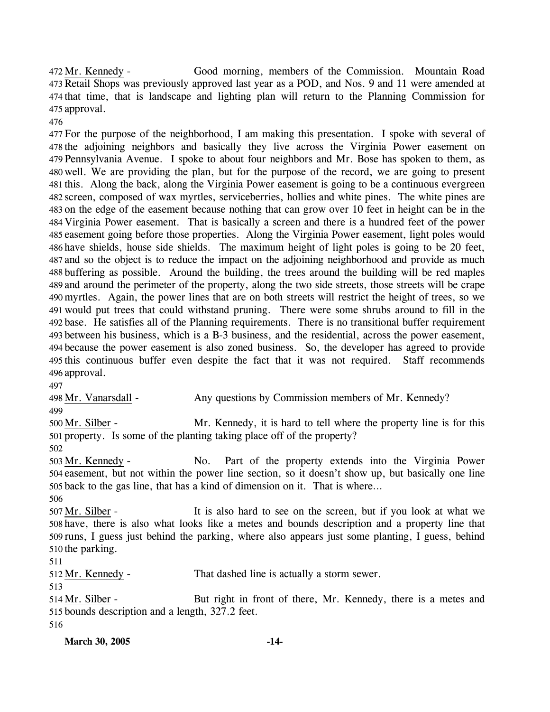Good morning, members of the Commission. Mountain Road 473 Retail Shops was previously approved last year as a POD, and Nos. 9 and 11 were amended at 474 that time, that is landscape and lighting plan will return to the Planning Commission for 475 approval. 472 Mr. Kennedy -

476

 For the purpose of the neighborhood, I am making this presentation. I spoke with several of the adjoining neighbors and basically they live across the Virginia Power easement on Pennsylvania Avenue. I spoke to about four neighbors and Mr. Bose has spoken to them, as well. We are providing the plan, but for the purpose of the record, we are going to present this. Along the back, along the Virginia Power easement is going to be a continuous evergreen screen, composed of wax myrtles, serviceberries, hollies and white pines. The white pines are on the edge of the easement because nothing that can grow over 10 feet in height can be in the Virginia Power easement. That is basically a screen and there is a hundred feet of the power easement going before those properties. Along the Virginia Power easement, light poles would have shields, house side shields. The maximum height of light poles is going to be 20 feet, and so the object is to reduce the impact on the adjoining neighborhood and provide as much buffering as possible. Around the building, the trees around the building will be red maples and around the perimeter of the property, along the two side streets, those streets will be crape myrtles. Again, the power lines that are on both streets will restrict the height of trees, so we would put trees that could withstand pruning. There were some shrubs around to fill in the base. He satisfies all of the Planning requirements. There is no transitional buffer requirement between his business, which is a B-3 business, and the residential, across the power easement, because the power easement is also zoned business. So, the developer has agreed to provide this continuous buffer even despite the fact that it was not required. Staff recommends approval.

497

498 Mr. Vanarsdall - Any questions by Commission members of Mr. Kennedy? 499

Mr. Kennedy, it is hard to tell where the property line is for this 501 property. Is some of the planting taking place off of the property? 500 Mr. Silber -

502

No. Part of the property extends into the Virginia Power 504 easement, but not within the power line section, so it doesn't show up, but basically one line 505 back to the gas line, that has a kind of dimension on it. That is where... 503 Mr. Kennedy -

506

It is also hard to see on the screen, but if you look at what we 508 have, there is also what looks like a metes and bounds description and a property line that 509 runs, I guess just behind the parking, where also appears just some planting, I guess, behind 510 the parking. 507 Mr. Silber -

511

512 Mr. Kennedy - That dashed line is actually a storm sewer.

513

But right in front of there, Mr. Kennedy, there is a metes and 515 bounds description and a length, 327.2 feet. 514 Mr. Silber -516

**March 30, 2005 -14-**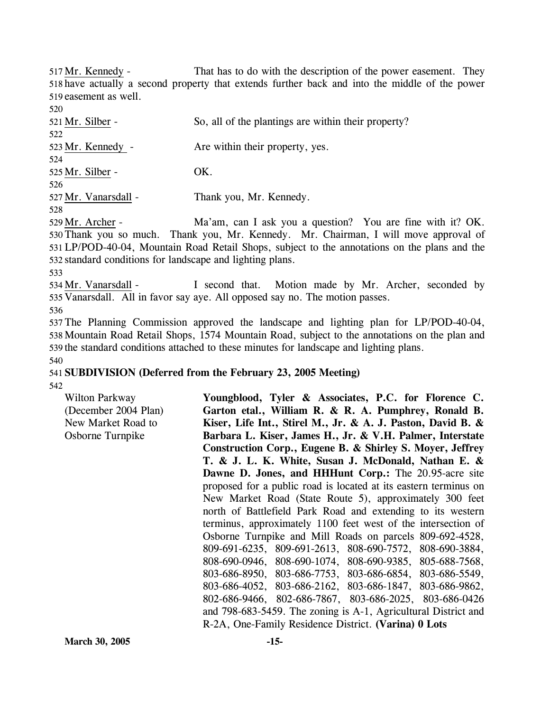That has to do with the description of the power easement. They 518 have actually a second property that extends further back and into the middle of the power 519 easement as well. 517 Mr. Kennedy -

| 520                    |                                                               |
|------------------------|---------------------------------------------------------------|
| 521 Mr. Silber -       | So, all of the plantings are within their property?           |
| 522                    |                                                               |
| 523 Mr. Kennedy -      | Are within their property, yes.                               |
| 524                    |                                                               |
| 525 Mr. Silber -       | OK.                                                           |
| 526                    |                                                               |
| 527 Mr. Vanarsdall -   | Thank you, Mr. Kennedy.                                       |
| 528                    |                                                               |
| 529 Mr. Archer -       | Ma'am, can I ask you a question? You are fine with it? OK.    |
| 530 Thank you so much. | Thank you, Mr. Kennedy. Mr. Chairman. I will move approval of |

you, Mr. Kennedy. Mr. Chairman, I will move approval of LP/POD-40-04, Mountain Road Retail Shops, subject to the annotations on the plans and the 531 532 standard conditions for landscape and lighting plans. 530

533

I second that. Motion made by Mr. Archer, seconded by 535 Vanarsdall. All in favor say aye. All opposed say no. The motion passes. 534 Mr. Vanarsdall -536

537 The Planning Commission approved the landscape and lighting plan for LP/POD-40-04, 538 Mountain Road Retail Shops, 1574 Mountain Road, subject to the annotations on the plan and 539 the standard conditions attached to these minutes for landscape and lighting plans.

# 541 **SUBDIVISION (Deferred from the February 23, 2005 Meeting)**

542

540

Wilton Parkway (December 2004 Plan) New Market Road to Osborne Turnpike **Youngblood, Tyler & Associates, P.C. for Florence C. Garton etal., William R. & R. A. Pumphrey, Ronald B. Kiser, Life Int., Stirel M., Jr. & A. J. Paston, David B. & Barbara L. Kiser, James H., Jr. & V.H. Palmer, Interstate Construction Corp., Eugene B. & Shirley S. Moyer, Jeffrey T. & J. L. K. White, Susan J. McDonald, Nathan E. & Dawne D. Jones, and HHHunt Corp.:** The 20.95-acre site proposed for a public road is located at its eastern terminus on New Market Road (State Route 5), approximately 300 feet north of Battlefield Park Road and extending to its western terminus, approximately 1100 feet west of the intersection of Osborne Turnpike and Mill Roads on parcels 809-692-4528, 809-691-6235, 809-691-2613, 808-690-7572, 808-690-3884, 808-690-0946, 808-690-1074, 808-690-9385, 805-688-7568, 803-686-8950, 803-686-7753, 803-686-6854, 803-686-5549, 803-686-4052, 803-686-2162, 803-686-1847, 803-686-9862, 802-686-9466, 802-686-7867, 803-686-2025, 803-686-0426 and 798-683-5459. The zoning is A-1, Agricultural District and R-2A, One-Family Residence District. **(Varina) 0 Lots**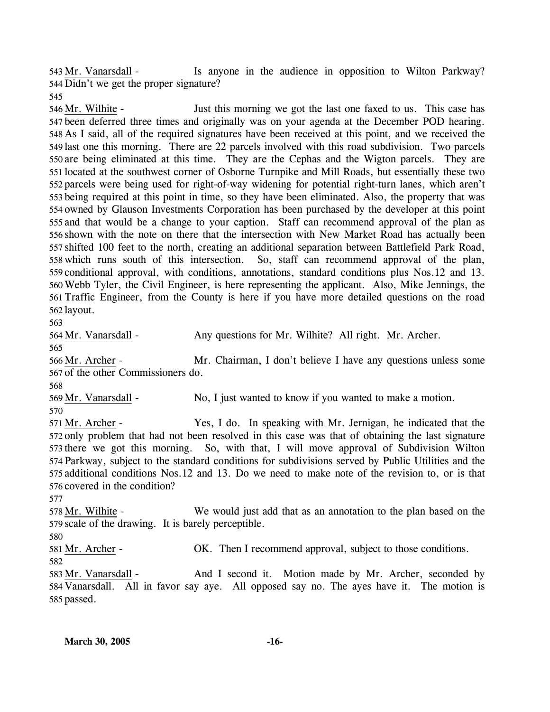Is anyone in the audience in opposition to Wilton Parkway? 544 Didn't we get the proper signature? 543 Mr. Vanarsdall -

545

Just this morning we got the last one faxed to us. This case has 547 been deferred three times and originally was on your agenda at the December POD hearing. 548 As I said, all of the required signatures have been received at this point, and we received the 549 last one this morning. There are 22 parcels involved with this road subdivision. Two parcels 550 are being eliminated at this time. They are the Cephas and the Wigton parcels. They are 551 located at the southwest corner of Osborne Turnpike and Mill Roads, but essentially these two 552 parcels were being used for right-of-way widening for potential right-turn lanes, which aren't 553 being required at this point in time, so they have been eliminated. Also, the property that was 554 owned by Glauson Investments Corporation has been purchased by the developer at this point 555 and that would be a change to your caption. Staff can recommend approval of the plan as 556 shown with the note on there that the intersection with New Market Road has actually been 557 shifted 100 feet to the north, creating an additional separation between Battlefield Park Road, 558 which runs south of this intersection. So, staff can recommend approval of the plan, 559 conditional approval, with conditions, annotations, standard conditions plus Nos.12 and 13. Webb Tyler, the Civil Engineer, is here representing the applicant. Also, Mike Jennings, the 560 561 Traffic Engineer, from the County is here if you have more detailed questions on the road 562 layout. 546 Mr. Wilhite -

563

564 Mr. Vanarsdall - Any questions for Mr. Wilhite? All right. Mr. Archer. 565 Mr. Chairman, I don't believe I have any questions unless some 567 of the other Commissioners do. 566 Mr. Archer -568 569 Mr. Vanarsdall - No, I just wanted to know if you wanted to make a motion. 570 Yes, I do. In speaking with Mr. Jernigan, he indicated that the 572 only problem that had not been resolved in this case was that of obtaining the last signature 573 there we got this morning. So, with that, I will move approval of Subdivision Wilton 574 Parkway, subject to the standard conditions for subdivisions served by Public Utilities and the 575 additional conditions Nos.12 and 13. Do we need to make note of the revision to, or is that 576 covered in the condition? 571 Mr. Archer -577 We would just add that as an annotation to the plan based on the 579 scale of the drawing. It is barely perceptible. 578 Mr. Wilhite -580

581 Mr. Archer - OK. Then I recommend approval, subject to those conditions.

582

And I second it. Motion made by Mr. Archer, seconded by 584 Vanarsdall. All in favor say aye. All opposed say no. The ayes have it. The motion is 585 passed. 583 Mr. Vanarsdall -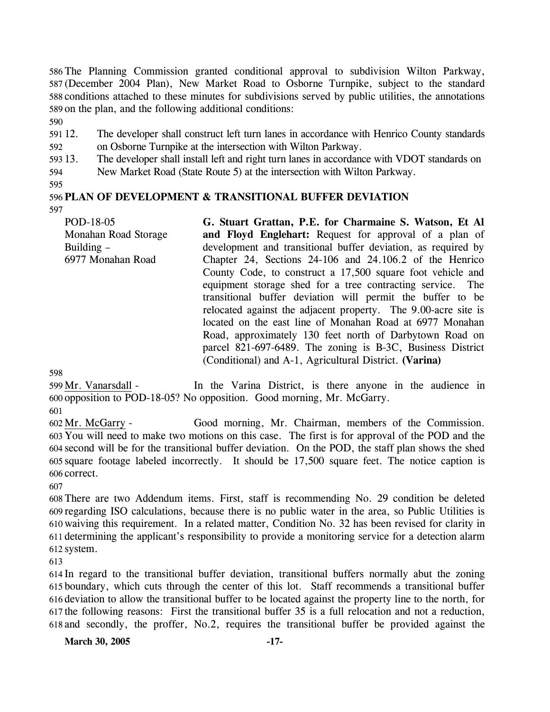The Planning Commission granted conditional approval to subdivision Wilton Parkway, (December 2004 Plan), New Market Road to Osborne Turnpike, subject to the standard conditions attached to these minutes for subdivisions served by public utilities, the annotations on the plan, and the following additional conditions:

590

591 12. 592 12. The developer shall construct left turn lanes in accordance with Henrico County standards on Osborne Turnpike at the intersection with Wilton Parkway.

593 13. The developer shall install left and right turn lanes in accordance with VDOT standards on

594 New Market Road (State Route 5) at the intersection with Wilton Parkway.

595

#### 596 **PLAN OF DEVELOPMENT & TRANSITIONAL BUFFER DEVIATION**  597

POD-18-05 Monahan Road Storage Building – 6977 Monahan Road **G. Stuart Grattan, P.E. for Charmaine S. Watson, Et Al and Floyd Englehart:** Request for approval of a plan of development and transitional buffer deviation, as required by Chapter 24, Sections 24-106 and 24.106.2 of the Henrico County Code, to construct a 17,500 square foot vehicle and equipment storage shed for a tree contracting service. The transitional buffer deviation will permit the buffer to be relocated against the adjacent property. The 9.00-acre site is located on the east line of Monahan Road at 6977 Monahan Road, approximately 130 feet north of Darbytown Road on parcel 821-697-6489. The zoning is B-3C, Business District (Conditional) and A-1, Agricultural District. **(Varina)** 

598

In the Varina District, is there anyone in the audience in opposition to POD-18-05? No opposition. Good morning, Mr. McGarry. 600 599 Mr. Vanarsdall -

601

Good morning, Mr. Chairman, members of the Commission. You will need to make two motions on this case. The first is for approval of the POD and the 603 second will be for the transitional buffer deviation. On the POD, the staff plan shows the shed 604 square footage labeled incorrectly. It should be 17,500 square feet. The notice caption is 605 606 correct. 602 Mr. McGarry -

607

 There are two Addendum items. First, staff is recommending No. 29 condition be deleted regarding ISO calculations, because there is no public water in the area, so Public Utilities is waiving this requirement. In a related matter, Condition No. 32 has been revised for clarity in determining the applicant's responsibility to provide a monitoring service for a detection alarm system.

613

 In regard to the transitional buffer deviation, transitional buffers normally abut the zoning boundary, which cuts through the center of this lot. Staff recommends a transitional buffer deviation to allow the transitional buffer to be located against the property line to the north, for the following reasons: First the transitional buffer 35 is a full relocation and not a reduction, and secondly, the proffer, No.2, requires the transitional buffer be provided against the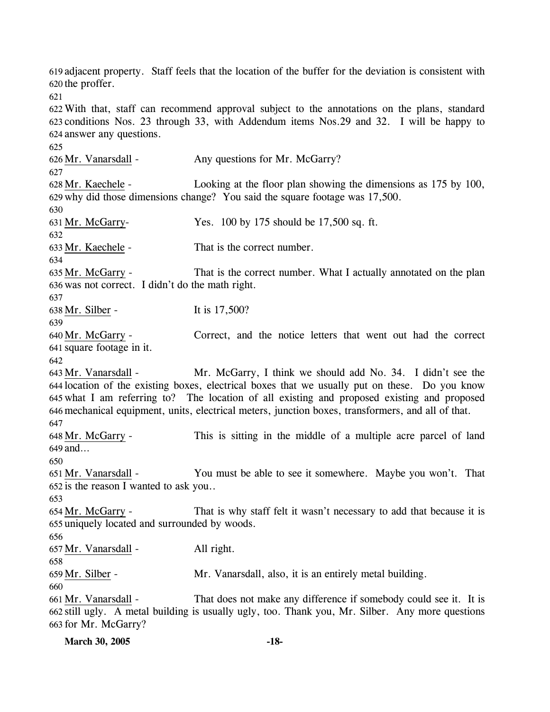619 adjacent property. Staff feels that the location of the buffer for the deviation is consistent with 620 the proffer. 621 622 With that, staff can recommend approval subject to the annotations on the plans, standard 623 conditions Nos. 23 through 33, with Addendum items Nos.29 and 32. I will be happy to 624 answer any questions. 625 626 Mr. Vanarsdall - Any questions for Mr. McGarry? 627 Looking at the floor plan showing the dimensions as  $175$  by 100, 629 why did those dimensions change? You said the square footage was 17,500. 628 Mr. Kaechele -630 631 Mr. McGarry- Yes. 100 by 175 should be 17,500 sq. ft. 632 633 Mr. Kaechele - That is the correct number. 634 That is the correct number. What I actually annotated on the plan 636 was not correct. I didn't do the math right. 635 Mr. McGarry -637 638 Mr. Silber - It is 17,500? 639 Correct, and the notice letters that went out had the correct 641 square footage in it. 640 Mr. McGarry -642 Mr. McGarry, I think we should add No. 34. I didn't see the 644 location of the existing boxes, electrical boxes that we usually put on these. Do you know what I am referring to? The location of all existing and proposed existing and proposed 645 646 mechanical equipment, units, electrical meters, junction boxes, transformers, and all of that. 643 Mr. Vanarsdall -647 This is sitting in the middle of a multiple acre parcel of land 649 and… 648 Mr. McGarry -650 You must be able to see it somewhere. Maybe you won't. That  $652$  is the reason I wanted to ask you.. 651 Mr. Vanarsdall -653 That is why staff felt it wasn't necessary to add that because it is 655 uniquely located and surrounded by woods. 654 Mr. McGarry -656 657 Mr. Vanarsdall - All right. 658 659 Mr. Silber - Mr. Vanarsdall, also, it is an entirely metal building. 660 That does not make any difference if somebody could see it. It is still ugly. A metal building is usually ugly, too. Thank you, Mr. Silber. Any more questions 662 663 for Mr. McGarry? 661 Mr. Vanarsdall -

| <b>March 30, 2005</b> | -18- |
|-----------------------|------|
|                       |      |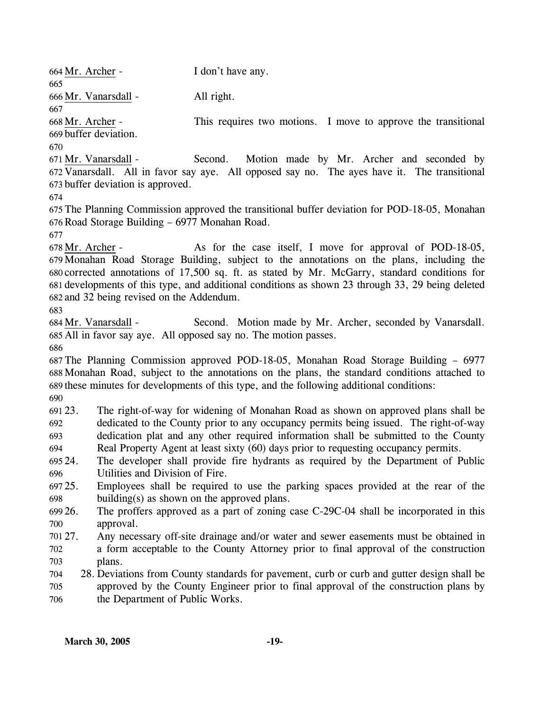| 664 Mr. Archer -      |                                                                                                | I don't have any.                                                                                 |  |
|-----------------------|------------------------------------------------------------------------------------------------|---------------------------------------------------------------------------------------------------|--|
| 665                   |                                                                                                |                                                                                                   |  |
| 666 Mr. Vanarsdall -  |                                                                                                | All right.                                                                                        |  |
| 667                   |                                                                                                |                                                                                                   |  |
| 668 Mr. Archer -      |                                                                                                | This requires two motions. I move to approve the transitional                                     |  |
| 669 buffer deviation. |                                                                                                |                                                                                                   |  |
| 670                   |                                                                                                |                                                                                                   |  |
| 671 Mr. Vanarsdall -  |                                                                                                | Second.<br>Motion made by Mr. Archer and seconded by                                              |  |
|                       |                                                                                                | 672 Vanarsdall. All in favor say aye. All opposed say no. The ayes have it. The transitional      |  |
|                       | 673 buffer deviation is approved.                                                              |                                                                                                   |  |
| 674                   |                                                                                                |                                                                                                   |  |
|                       |                                                                                                | 675 The Planning Commission approved the transitional buffer deviation for POD-18-05, Monahan     |  |
|                       | 676 Road Storage Building - 6977 Monahan Road.                                                 |                                                                                                   |  |
| 677                   |                                                                                                |                                                                                                   |  |
| 678 Mr. Archer -      |                                                                                                | As for the case itself, I move for approval of POD-18-05,                                         |  |
|                       |                                                                                                | 679 Monahan Road Storage Building, subject to the annotations on the plans, including the         |  |
|                       |                                                                                                | 680 corrected annotations of 17,500 sq. ft. as stated by Mr. McGarry, standard conditions for     |  |
|                       |                                                                                                | 681 developments of this type, and additional conditions as shown 23 through 33, 29 being deleted |  |
|                       | 682 and 32 being revised on the Addendum.                                                      |                                                                                                   |  |
| 683                   |                                                                                                |                                                                                                   |  |
| 684 Mr. Vanarsdall -  |                                                                                                | Second. Motion made by Mr. Archer, seconded by Vanarsdall.                                        |  |
|                       |                                                                                                | 685 All in favor say aye. All opposed say no. The motion passes.                                  |  |
| 686                   |                                                                                                |                                                                                                   |  |
|                       |                                                                                                | 687 The Planning Commission approved POD-18-05, Monahan Road Storage Building – 6977              |  |
|                       | 688 Monahan Road, subject to the annotations on the plans, the standard conditions attached to |                                                                                                   |  |
|                       |                                                                                                | 689 these minutes for developments of this type, and the following additional conditions:         |  |
| 690                   |                                                                                                |                                                                                                   |  |
| 691 23.               |                                                                                                | The right-of-way for widening of Monahan Road as shown on approved plans shall be                 |  |
|                       |                                                                                                |                                                                                                   |  |
| 692                   |                                                                                                | dedicated to the County prior to any occupancy permits being issued. The right-of-way             |  |
| 693                   |                                                                                                | dedication plat and any other required information shall be submitted to the County               |  |
| 694                   |                                                                                                | Real Property Agent at least sixty (60) days prior to requesting occupancy permits.               |  |
| 695 24.               |                                                                                                | The developer shall provide fire hydrants as required by the Department of Public                 |  |
| 696                   | Utilities and Division of Fire.                                                                |                                                                                                   |  |
| 697 25.               |                                                                                                | Employees shall be required to use the parking spaces provided at the rear of the                 |  |
| 698                   |                                                                                                | building(s) as shown on the approved plans.                                                       |  |
| 699 26.               |                                                                                                | The proffers approved as a part of zoning case C-29C-04 shall be incorporated in this             |  |
| 700                   | approval.                                                                                      |                                                                                                   |  |
| 701 27.               |                                                                                                | Any necessary off-site drainage and/or water and sewer easements must be obtained in              |  |
| 702                   |                                                                                                | a form acceptable to the County Attorney prior to final approval of the construction              |  |
| 703                   | plans.                                                                                         |                                                                                                   |  |
| 704                   |                                                                                                | 28. Deviations from County standards for pavement, curb or curb and gutter design shall be        |  |
| 705                   |                                                                                                | approved by the County Engineer prior to final approval of the construction plans by              |  |
| 706                   | the Department of Public Works.                                                                |                                                                                                   |  |
|                       |                                                                                                |                                                                                                   |  |
|                       |                                                                                                |                                                                                                   |  |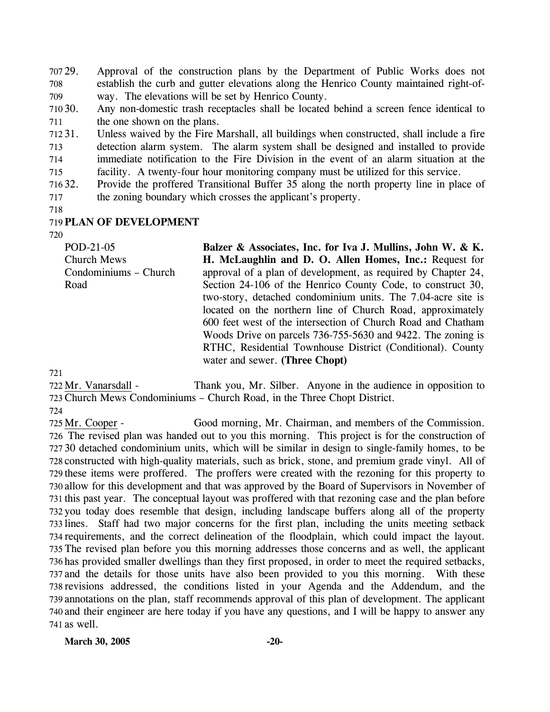707 29. 708 709 Approval of the construction plans by the Department of Public Works does not establish the curb and gutter elevations along the Henrico County maintained right-ofway. The elevations will be set by Henrico County.

710 30. 711 Any non-domestic trash receptacles shall be located behind a screen fence identical to the one shown on the plans.

712 31. 713 714 715 Unless waived by the Fire Marshall, all buildings when constructed, shall include a fire detection alarm system. The alarm system shall be designed and installed to provide immediate notification to the Fire Division in the event of an alarm situation at the facility. A twenty-four hour monitoring company must be utilized for this service.

71632. 717 32. Provide the proffered Transitional Buffer 35 along the north property line in place of the zoning boundary which crosses the applicant's property.

718

### 719 **PLAN OF DEVELOPMENT**

720

| POD-21-05             | Balzer & Associates, Inc. for Iva J. Mullins, John W. & K.    |
|-----------------------|---------------------------------------------------------------|
| <b>Church Mews</b>    | H. McLaughlin and D. O. Allen Homes, Inc.: Request for        |
| Condominiums – Church | approval of a plan of development, as required by Chapter 24, |
| Road                  | Section 24-106 of the Henrico County Code, to construct 30,   |
|                       | two-story, detached condominium units. The 7.04-acre site is  |
|                       | located on the northern line of Church Road, approximately    |
|                       | 600 feet west of the intersection of Church Road and Chatham  |
|                       | Woods Drive on parcels 736-755-5630 and 9422. The zoning is   |
|                       | RTHC, Residential Townhouse District (Conditional). County    |
|                       | water and sewer. (Three Chopt)                                |
|                       |                                                               |

721

Thank you, Mr. Silber. Anyone in the audience in opposition to 723 Church Mews Condominiums - Church Road, in the Three Chopt District. 722 Mr. Vanarsdall -724

Good morning, Mr. Chairman, and members of the Commission. 726 The revised plan was handed out to you this morning. This project is for the construction of 30 detached condominium units, which will be similar in design to single-family homes, to be 727 728 constructed with high-quality materials, such as brick, stone, and premium grade vinyl. All of 729 these items were proffered. The proffers were created with the rezoning for this property to 730 allow for this development and that was approved by the Board of Supervisors in November of 731 this past year. The conceptual layout was proffered with that rezoning case and the plan before 732 you today does resemble that design, including landscape buffers along all of the property 733 lines. Staff had two major concerns for the first plan, including the units meeting setback 734 requirements, and the correct delineation of the floodplain, which could impact the layout. The revised plan before you this morning addresses those concerns and as well, the applicant 735 736 has provided smaller dwellings than they first proposed, in order to meet the required setbacks, 737 and the details for those units have also been provided to you this morning. With these 738 revisions addressed, the conditions listed in your Agenda and the Addendum, and the 739 annotations on the plan, staff recommends approval of this plan of development. The applicant 740 and their engineer are here today if you have any questions, and I will be happy to answer any 741 as well. 725 Mr. Cooper -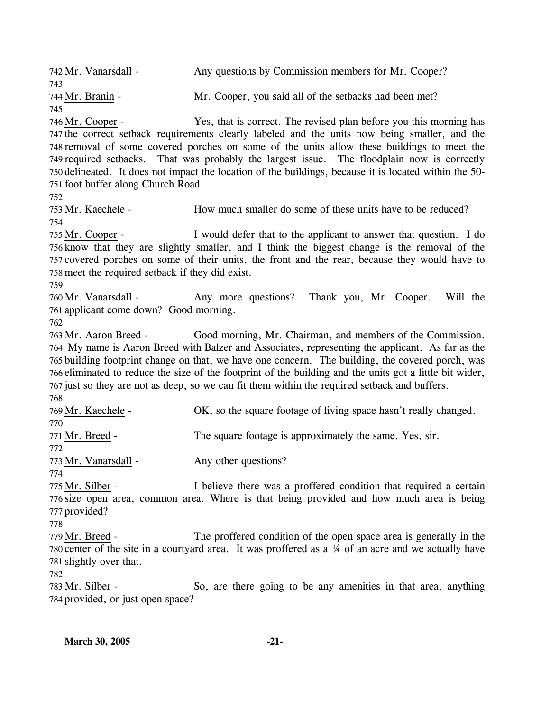742 Mr. Vanarsdall - Any questions by Commission members for Mr. Cooper? 743 744 Mr. Branin - Mr. Cooper, you said all of the setbacks had been met? 745 Yes, that is correct. The revised plan before you this morning has 747 the correct setback requirements clearly labeled and the units now being smaller, and the 748 removal of some covered porches on some of the units allow these buildings to meet the 749 required setbacks. That was probably the largest issue. The floodplain now is correctly 750 delineated. It does not impact the location of the buildings, because it is located within the 50-751 foot buffer along Church Road. 746 Mr. Cooper -752 753 Mr. Kaechele - How much smaller do some of these units have to be reduced? 754 I would defer that to the applicant to answer that question. I do 756 know that they are slightly smaller, and I think the biggest change is the removal of the 757 covered porches on some of their units, the front and the rear, because they would have to 758 meet the required setback if they did exist. 755 Mr. Cooper -759 Any more questions? Thank you, Mr. Cooper. Will the 761 applicant come down? Good morning. 760 Mr. Vanarsdall -762 Good morning, Mr. Chairman, and members of the Commission. My name is Aaron Breed with Balzer and Associates, representing the applicant. As far as the 764 765 building footprint change on that, we have one concern. The building, the covered porch, was 766 eliminated to reduce the size of the footprint of the building and the units got a little bit wider, 767 just so they are not as deep, so we can fit them within the required setback and buffers. 763 Mr. Aaron Breed -768 769 Mr. Kaechele - OK, so the square footage of living space hasn't really changed. 770 771 Mr. Breed - The square footage is approximately the same. Yes, sir. 772 773 Mr. Vanarsdall - Any other questions? 774 I believe there was a proffered condition that required a certain 776 size open area, common area. Where is that being provided and how much area is being 777 provided? 775 Mr. Silber -778 The proffered condition of the open space area is generally in the 780 center of the site in a courtyard area. It was proffered as a  $\frac{1}{4}$  of an acre and we actually have 781 slightly over that. 779 Mr. Breed -782 So, are there going to be any amenities in that area, anything 784 provided, or just open space? 783 Mr. Silber -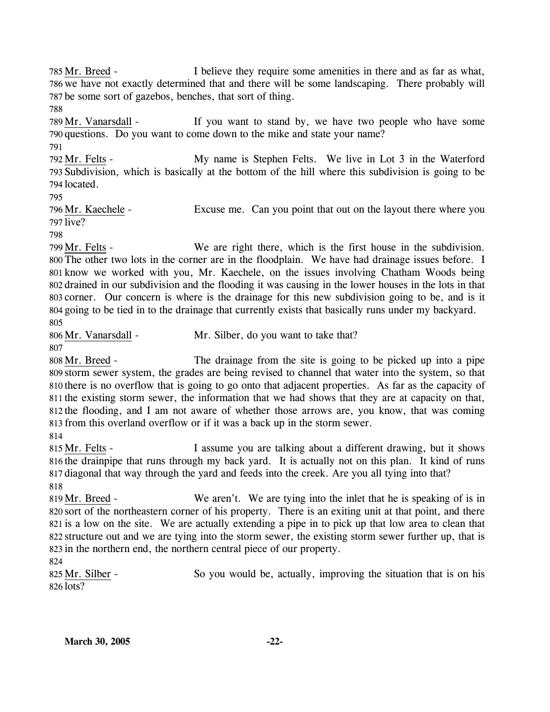I believe they require some amenities in there and as far as what, 786 we have not exactly determined that and there will be some landscaping. There probably will 787 be some sort of gazebos, benches, that sort of thing. 785 Mr. Breed -

788

791

If you want to stand by, we have two people who have some 790 questions. Do you want to come down to the mike and state your name? 789 Mr. Vanarsdall -

My name is Stephen Felts. We live in Lot 3 in the Waterford 793 Subdivision, which is basically at the bottom of the hill where this subdivision is going to be 794 located. 792 Mr. Felts -

795

Excuse me. Can you point that out on the layout there where you 797 live? 796 Mr. Kaechele -

798

We are right there, which is the first house in the subdivision. 800 The other two lots in the corner are in the floodplain. We have had drainage issues before. I 801 know we worked with you, Mr. Kaechele, on the issues involving Chatham Woods being 802 drained in our subdivision and the flooding it was causing in the lower houses in the lots in that 803 corner. Our concern is where is the drainage for this new subdivision going to be, and is it 804 going to be tied in to the drainage that currently exists that basically runs under my backyard. 799 Mr. Felts -805

806 Mr. Vanarsdall - Mr. Silber, do you want to take that?

807

The drainage from the site is going to be picked up into a pipe 809 storm sewer system, the grades are being revised to channel that water into the system, so that 810 there is no overflow that is going to go onto that adjacent properties. As far as the capacity of 811 the existing storm sewer, the information that we had shows that they are at capacity on that, 812 the flooding, and I am not aware of whether those arrows are, you know, that was coming 813 from this overland overflow or if it was a back up in the storm sewer. 808 Mr. Breed -

814

I assume you are talking about a different drawing, but it shows 816 the drainpipe that runs through my back yard. It is actually not on this plan. It kind of runs 817 diagonal that way through the yard and feeds into the creek. Are you all tying into that? 815 Mr. Felts -818

We aren't. We are tying into the inlet that he is speaking of is in 820 sort of the northeastern corner of his property. There is an exiting unit at that point, and there 821 is a low on the site. We are actually extending a pipe in to pick up that low area to clean that 822 structure out and we are tying into the storm sewer, the existing storm sewer further up, that is 823 in the northern end, the northern central piece of our property. 819 Mr. Breed -

824

So you would be, actually, improving the situation that is on his 826 lots? 825 Mr. Silber -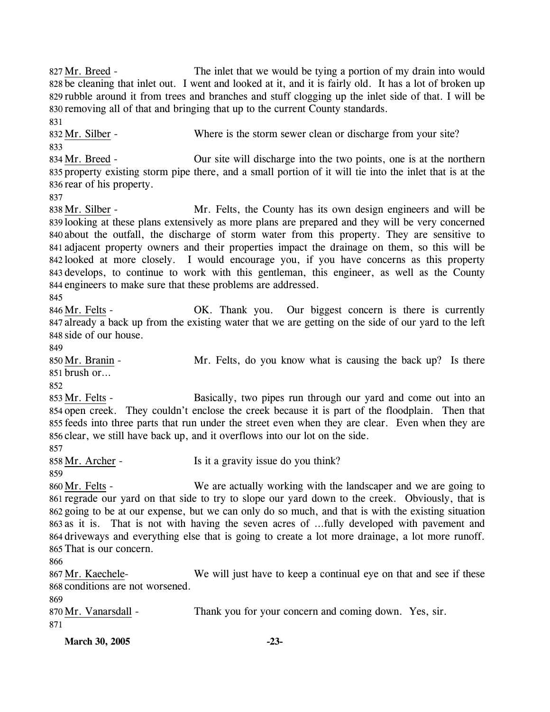The inlet that we would be tying a portion of my drain into would 828 be cleaning that inlet out. I went and looked at it, and it is fairly old. It has a lot of broken up 829 rubble around it from trees and branches and stuff clogging up the inlet side of that. I will be 830 removing all of that and bringing that up to the current County standards. 827 Mr. Breed -831 832 Mr. Silber - Where is the storm sewer clean or discharge from your site? 833 Our site will discharge into the two points, one is at the northern 835 property existing storm pipe there, and a small portion of it will tie into the inlet that is at the 836 rear of his property. 834 Mr. Breed -837 Mr. Felts, the County has its own design engineers and will be 839 looking at these plans extensively as more plans are prepared and they will be very concerned 840 about the outfall, the discharge of storm water from this property. They are sensitive to 841 adjacent property owners and their properties impact the drainage on them, so this will be 842 looked at more closely. I would encourage you, if you have concerns as this property 843 develops, to continue to work with this gentleman, this engineer, as well as the County 844 engineers to make sure that these problems are addressed. 838 Mr. Silber -845 OK. Thank you. Our biggest concern is there is currently 847 already a back up from the existing water that we are getting on the side of our yard to the left side of our house. 848 846 Mr. Felts -849 Mr. Felts, do you know what is causing the back up? Is there brush or… 851 850 Mr. Branin -852 Basically, two pipes run through our yard and come out into an 854 open creek. They couldn't enclose the creek because it is part of the floodplain. Then that 855 feeds into three parts that run under the street even when they are clear. Even when they are 856 clear, we still have back up, and it overflows into our lot on the side. 853 Mr. Felts -857 858 Mr. Archer - Is it a gravity issue do you think? 859 We are actually working with the landscaper and we are going to 861 regrade our yard on that side to try to slope our yard down to the creek. Obviously, that is 862 going to be at our expense, but we can only do so much, and that is with the existing situation 863 as it is. That is not with having the seven acres of ...fully developed with pavement and 864 driveways and everything else that is going to create a lot more drainage, a lot more runoff. 865 That is our concern. 860 Mr. Felts -866 We will just have to keep a continual eye on that and see if these 868 conditions are not worsened. 867 Mr. Kaechele-869 870 Mr. Vanarsdall - Thank you for your concern and coming down. Yes, sir. 871

**March 30, 2005 -23-**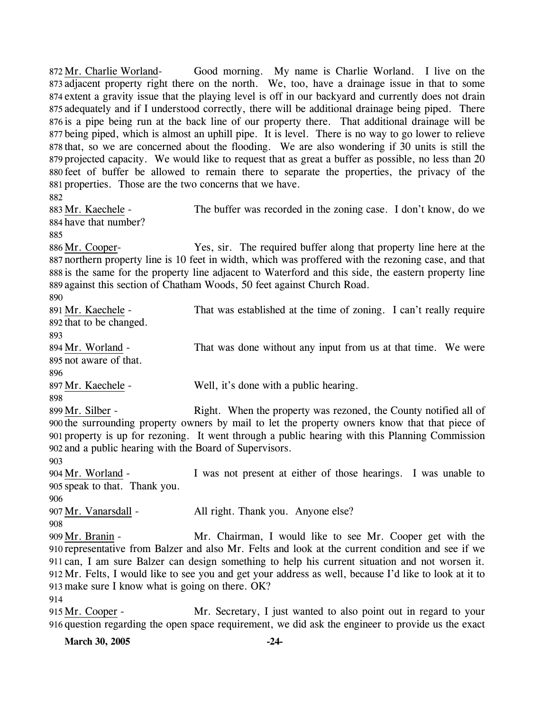Good morning. My name is Charlie Worland. I live on the 873 adjacent property right there on the north. We, too, have a drainage issue in that to some 874 extent a gravity issue that the playing level is off in our backyard and currently does not drain 875 adequately and if I understood correctly, there will be additional drainage being piped. There 876 is a pipe being run at the back line of our property there. That additional drainage will be 877 being piped, which is almost an uphill pipe. It is level. There is no way to go lower to relieve 878 that, so we are concerned about the flooding. We are also wondering if 30 units is still the 879 projected capacity. We would like to request that as great a buffer as possible, no less than 20 880 feet of buffer be allowed to remain there to separate the properties, the privacy of the 881 properties. Those are the two concerns that we have. 872 Mr. Charlie Worland-

882

884 have that number? 883 Mr. Kaechele -

The buffer was recorded in the zoning case. I don't know, do we

885

886 Mr. Cooper-

Yes, sir. The required buffer along that property line here at the northern property line is 10 feet in width, which was proffered with the rezoning case, and that 887 888 is the same for the property line adjacent to Waterford and this side, the eastern property line 889 against this section of Chatham Woods, 50 feet against Church Road. 890

| 891 Mr. Kaechele -                                                                                     | That was established at the time of zoning. I can't really require                              |  |
|--------------------------------------------------------------------------------------------------------|-------------------------------------------------------------------------------------------------|--|
| 892 that to be changed.                                                                                |                                                                                                 |  |
| 893                                                                                                    |                                                                                                 |  |
| 894 Mr. Worland -                                                                                      | That was done without any input from us at that time. We were                                   |  |
| 895 not aware of that.                                                                                 |                                                                                                 |  |
| 896                                                                                                    |                                                                                                 |  |
| 897 Mr. Kaechele -                                                                                     | Well, it's done with a public hearing.                                                          |  |
| 898                                                                                                    |                                                                                                 |  |
| 899 Mr. Silber -                                                                                       | Right. When the property was rezoned, the County notified all of                                |  |
| 900 the surrounding property owners by mail to let the property owners know that that piece of         |                                                                                                 |  |
|                                                                                                        | 901 property is up for rezoning. It went through a public hearing with this Planning Commission |  |
| 902 and a public hearing with the Board of Supervisors.                                                |                                                                                                 |  |
| 903                                                                                                    |                                                                                                 |  |
| 904 Mr. Worland -                                                                                      | I was not present at either of those hearings. I was unable to                                  |  |
| 905 speak to that. Thank you.                                                                          |                                                                                                 |  |
| 906                                                                                                    |                                                                                                 |  |
| 907 Mr. Vanarsdall -                                                                                   | All right. Thank you. Anyone else?                                                              |  |
| 908                                                                                                    |                                                                                                 |  |
| 909 Mr. Branin -                                                                                       | Mr. Chairman, I would like to see Mr. Cooper get with the                                       |  |
| 910 representative from Balzer and also Mr. Felts and look at the current condition and see if we      |                                                                                                 |  |
| 911 can, I am sure Balzer can design something to help his current situation and not worsen it.        |                                                                                                 |  |
| 912 Mr. Felts, I would like to see you and get your address as well, because I'd like to look at it to |                                                                                                 |  |
| 913 make sure I know what is going on there. OK?                                                       |                                                                                                 |  |
| 914                                                                                                    |                                                                                                 |  |
|                                                                                                        |                                                                                                 |  |

Mr. Secretary, I just wanted to also point out in regard to your 916 question regarding the open space requirement, we did ask the engineer to provide us the exact 915 Mr. Cooper -

**March 30, 2005 -24-**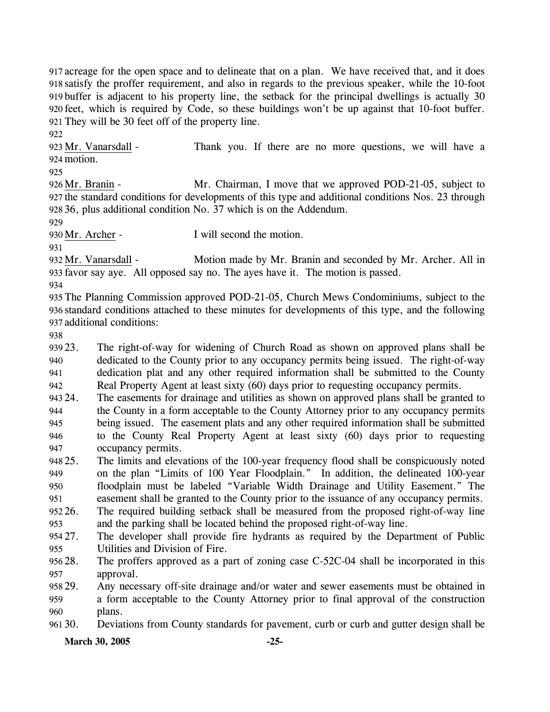acreage for the open space and to delineate that on a plan. We have received that, and it does satisfy the proffer requirement, and also in regards to the previous speaker, while the 10-foot buffer is adjacent to his property line, the setback for the principal dwellings is actually 30 feet, which is required by Code, so these buildings won't be up against that 10-foot buffer. They will be 30 feet off of the property line.

922 Thank you. If there are no more questions, we will have a 924 motion. 923 Mr. Vanarsdall -

925

Mr. Chairman, I move that we approved POD-21-05, subject to 927 the standard conditions for developments of this type and additional conditions Nos. 23 through 36, plus additional condition No. 37 which is on the Addendum. 928 926 Mr. Branin -

929

931

930 Mr. Archer - I will second the motion.

Motion made by Mr. Branin and seconded by Mr. Archer. All in 933 favor say aye. All opposed say no. The ayes have it. The motion is passed. 932 Mr. Vanarsdall -

934

935 The Planning Commission approved POD-21-05, Church Mews Condominiums, subject to the 936 standard conditions attached to these minutes for developments of this type, and the following 937 additional conditions:

938

939 23. 940 941 942 The right-of-way for widening of Church Road as shown on approved plans shall be dedicated to the County prior to any occupancy permits being issued. The right-of-way dedication plat and any other required information shall be submitted to the County Real Property Agent at least sixty (60) days prior to requesting occupancy permits.

943 24. 944 945 946 947 The easements for drainage and utilities as shown on approved plans shall be granted to the County in a form acceptable to the County Attorney prior to any occupancy permits being issued. The easement plats and any other required information shall be submitted to the County Real Property Agent at least sixty (60) days prior to requesting occupancy permits.

948 25. 949 950 951 25. The limits and elevations of the 100-year frequency flood shall be conspicuously noted on the plan "Limits of 100 Year Floodplain." In addition, the delineated 100-year floodplain must be labeled "Variable Width Drainage and Utility Easement." The easement shall be granted to the County prior to the issuance of any occupancy permits.

952 26. 953 The required building setback shall be measured from the proposed right-of-way line and the parking shall be located behind the proposed right-of-way line.

954 27. 955 The developer shall provide fire hydrants as required by the Department of Public Utilities and Division of Fire.

95628. 957 The proffers approved as a part of zoning case C-52C-04 shall be incorporated in this approval.

958 29. 959 960 Any necessary off-site drainage and/or water and sewer easements must be obtained in a form acceptable to the County Attorney prior to final approval of the construction plans.

961 30. 30. Deviations from County standards for pavement, curb or curb and gutter design shall be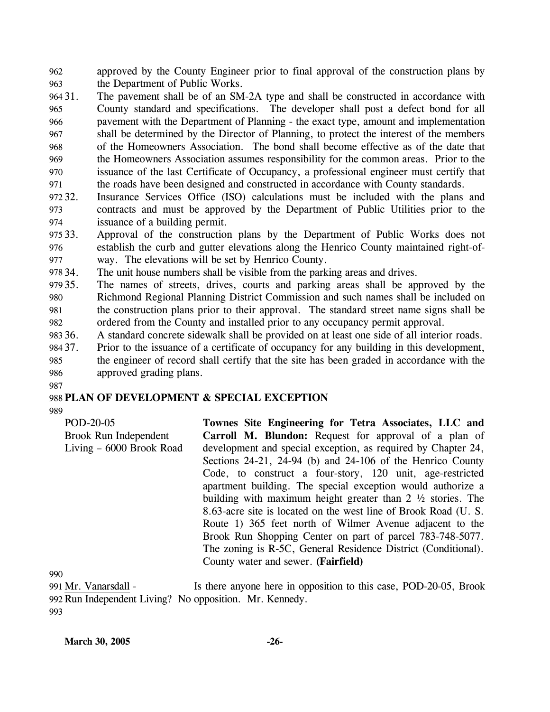962 963 approved by the County Engineer prior to final approval of the construction plans by the Department of Public Works.

- 964 31. 965 966 967 968 969 970 971 The pavement shall be of an SM-2A type and shall be constructed in accordance with County standard and specifications. The developer shall post a defect bond for all pavement with the Department of Planning - the exact type, amount and implementation shall be determined by the Director of Planning, to protect the interest of the members of the Homeowners Association. The bond shall become effective as of the date that the Homeowners Association assumes responsibility for the common areas. Prior to the issuance of the last Certificate of Occupancy, a professional engineer must certify that the roads have been designed and constructed in accordance with County standards.
- 972 32. 973 974 Insurance Services Office (ISO) calculations must be included with the plans and contracts and must be approved by the Department of Public Utilities prior to the issuance of a building permit.
- 975 33. 976 977 Approval of the construction plans by the Department of Public Works does not establish the curb and gutter elevations along the Henrico County maintained right-ofway. The elevations will be set by Henrico County.
- 978 34. The unit house numbers shall be visible from the parking areas and drives.
- 979 35. 980 981 982 The names of streets, drives, courts and parking areas shall be approved by the Richmond Regional Planning District Commission and such names shall be included on the construction plans prior to their approval. The standard street name signs shall be ordered from the County and installed prior to any occupancy permit approval.
- 983 36. A standard concrete sidewalk shall be provided on at least one side of all interior roads.
- 984 37. 37. Prior to the issuance of a certificate of occupancy for any building in this development,
- 985 986 the engineer of record shall certify that the site has been graded in accordance with the approved grading plans.
- 987

### 988 **PLAN OF DEVELOPMENT & SPECIAL EXCEPTION**

989

| POD-20-05                | Townes Site Engineering for Tetra Associates, LLC and                  |
|--------------------------|------------------------------------------------------------------------|
| Brook Run Independent    | <b>Carroll M. Blundon:</b> Request for approval of a plan of           |
| Living - 6000 Brook Road | development and special exception, as required by Chapter 24,          |
|                          | Sections $24-21$ , $24-94$ (b) and $24-106$ of the Henrico County      |
|                          | Code, to construct a four-story, 120 unit, age-restricted              |
|                          | apartment building. The special exception would authorize a            |
|                          | building with maximum height greater than $2 \frac{1}{2}$ stories. The |
|                          | 8.63-acre site is located on the west line of Brook Road (U. S.        |
|                          | Route 1) 365 feet north of Wilmer Avenue adjacent to the               |
|                          | Brook Run Shopping Center on part of parcel 783-748-5077.              |
|                          | The zoning is R-5C, General Residence District (Conditional).          |
|                          | County water and sewer. (Fairfield)                                    |
|                          |                                                                        |

990

Is there anyone here in opposition to this case, POD-20-05, Brook 992 Run Independent Living? No opposition. Mr. Kennedy. 991 Mr. Vanarsdall -993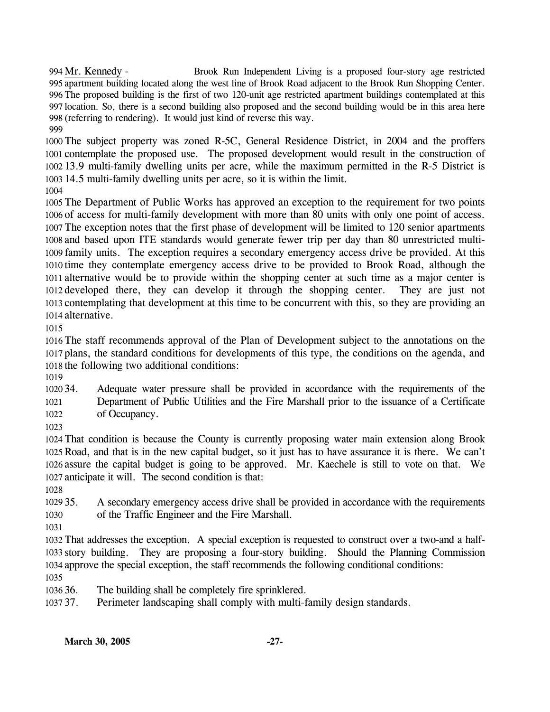Brook Run Independent Living is a proposed four-story age restricted 995 apartment building located along the west line of Brook Road adjacent to the Brook Run Shopping Center. The proposed building is the first of two 120-unit age restricted apartment buildings contemplated at this 997 location. So, there is a second building also proposed and the second building would be in this area here 998 (referring to rendering). It would just kind of reverse this way. 994 Mr. Kennedy -

 The subject property was zoned R-5C, General Residence District, in 2004 and the proffers contemplate the proposed use. The proposed development would result in the construction of 13.9 multi-family dwelling units per acre, while the maximum permitted in the R-5 District is 14.5 multi-family dwelling units per acre, so it is within the limit.

 The Department of Public Works has approved an exception to the requirement for two points of access for multi-family development with more than 80 units with only one point of access. The exception notes that the first phase of development will be limited to 120 senior apartments and based upon ITE standards would generate fewer trip per day than 80 unrestricted multi- family units. The exception requires a secondary emergency access drive be provided. At this time they contemplate emergency access drive to be provided to Brook Road, although the alternative would be to provide within the shopping center at such time as a major center is developed there, they can develop it through the shopping center. They are just not contemplating that development at this time to be concurrent with this, so they are providing an alternative.

 The staff recommends approval of the Plan of Development subject to the annotations on the plans, the standard conditions for developments of this type, the conditions on the agenda, and the following two additional conditions:

1020 34. Adequate water pressure shall be provided in accordance with the requirements of the Department of Public Utilities and the Fire Marshall prior to the issuance of a Certificate of Occupancy.

 That condition is because the County is currently proposing water main extension along Brook Road, and that is in the new capital budget, so it just has to have assurance it is there. We can't assure the capital budget is going to be approved. Mr. Kaechele is still to vote on that. We anticipate it will. The second condition is that:

1029 35. 35. A secondary emergency access drive shall be provided in accordance with the requirements of the Traffic Engineer and the Fire Marshall.

 That addresses the exception. A special exception is requested to construct over a two-and a half- story building. They are proposing a four-story building. Should the Planning Commission approve the special exception, the staff recommends the following conditional conditions:

1036 36. The building shall be completely fire sprinklered.

1037 37. 37. Perimeter landscaping shall comply with multi-family design standards.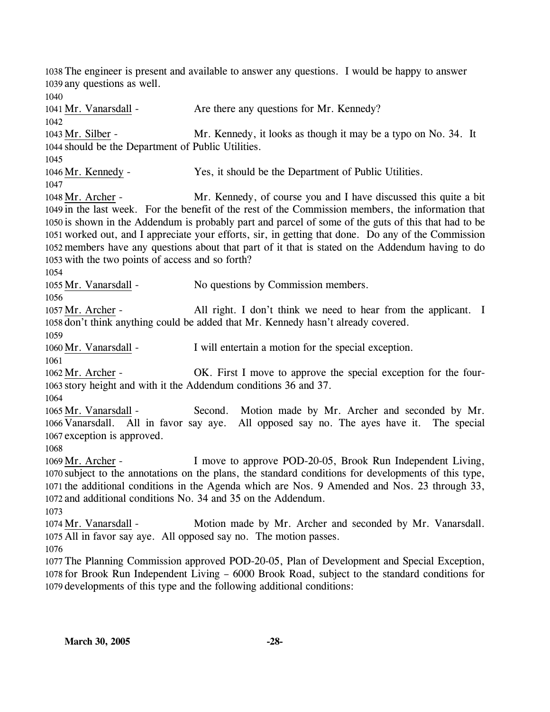1038 The engineer is present and available to answer any questions. I would be happy to answer 1039 any questions as well. 1040 1041 Mr. Vanarsdall - Are there any questions for Mr. Kennedy? 1042 Mr. Kennedy, it looks as though it may be a typo on No. 34. It 1044 should be the Department of Public Utilities. 1043 Mr. Silber -1045 1046 Mr. Kennedy - Yes, it should be the Department of Public Utilities. 1047 Mr. Kennedy, of course you and I have discussed this quite a bit 1049 in the last week. For the benefit of the rest of the Commission members, the information that 1050 is shown in the Addendum is probably part and parcel of some of the guts of this that had to be 1051 worked out, and I appreciate your efforts, sir, in getting that done. Do any of the Commission 1052 members have any questions about that part of it that is stated on the Addendum having to do 1053 with the two points of access and so forth? 1048 Mr. Archer -1054 1055 Mr. Vanarsdall - No questions by Commission members. 1056 All right. I don't think we need to hear from the applicant. I 1058 don't think anything could be added that Mr. Kennedy hasn't already covered. 1057 Mr. Archer -1059 1060 Mr. Vanarsdall - I will entertain a motion for the special exception. 1061 OK. First I move to approve the special exception for the four-1063 story height and with it the Addendum conditions 36 and 37. 1062 Mr. Archer -1064 Second. Motion made by Mr. Archer and seconded by Mr. 1066 Vanarsdall. All in favor say aye. All opposed say no. The ayes have it. The special 1067 exception is approved. 1065 Mr. Vanarsdall -1068 I move to approve POD-20-05, Brook Run Independent Living, 1070 subject to the annotations on the plans, the standard conditions for developments of this type, 1071 the additional conditions in the Agenda which are Nos. 9 Amended and Nos. 23 through 33, and additional conditions No. 34 and 35 on the Addendum. 1072 1069 Mr. Archer -1073 Motion made by Mr. Archer and seconded by Mr. Vanarsdall. 1075 All in favor say aye. All opposed say no. The motion passes. 1074 Mr. Vanarsdall -1076 1077 The Planning Commission approved POD-20-05, Plan of Development and Special Exception, 1078 for Brook Run Independent Living – 6000 Brook Road, subject to the standard conditions for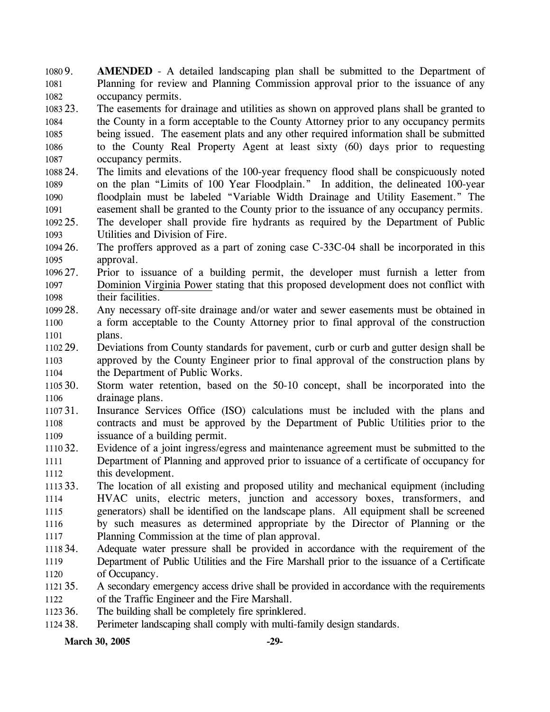1080 9. 1081 1082 AMENDED - A detailed landscaping plan shall be submitted to the Department of Planning for review and Planning Commission approval prior to the issuance of any occupancy permits.

1083 23. 1084 1085 1086 1087 The easements for drainage and utilities as shown on approved plans shall be granted to the County in a form acceptable to the County Attorney prior to any occupancy permits being issued. The easement plats and any other required information shall be submitted to the County Real Property Agent at least sixty (60) days prior to requesting occupancy permits.

1088 24. 1089 1090 1091 24. The limits and elevations of the 100-year frequency flood shall be conspicuously noted on the plan "Limits of 100 Year Floodplain." In addition, the delineated 100-year floodplain must be labeled "Variable Width Drainage and Utility Easement." The easement shall be granted to the County prior to the issuance of any occupancy permits.

1092 25. 1093 The developer shall provide fire hydrants as required by the Department of Public Utilities and Division of Fire.

1094 26. 1095 The proffers approved as a part of zoning case C-33C-04 shall be incorporated in this approval.

1096 27. Prior to issuance of a building permit, the developer must furnish a letter from Dominion Virginia Power stating that this proposed development does not conflict with their facilities. 1097 1098

1099 28. 1100 1101 Any necessary off-site drainage and/or water and sewer easements must be obtained in a form acceptable to the County Attorney prior to final approval of the construction plans.

1102 29. 1103 1104 29. Deviations from County standards for pavement, curb or curb and gutter design shall be approved by the County Engineer prior to final approval of the construction plans by the Department of Public Works.

1105 30. 1106 Storm water retention, based on the 50-10 concept, shall be incorporated into the drainage plans.

1107 31. 1108 1109 Insurance Services Office (ISO) calculations must be included with the plans and contracts and must be approved by the Department of Public Utilities prior to the issuance of a building permit.

1110 32. 1111 1112 Evidence of a joint ingress/egress and maintenance agreement must be submitted to the Department of Planning and approved prior to issuance of a certificate of occupancy for this development.

1113 33. 1114 1115 1116 1117 The location of all existing and proposed utility and mechanical equipment (including HVAC units, electric meters, junction and accessory boxes, transformers, and generators) shall be identified on the landscape plans. All equipment shall be screened by such measures as determined appropriate by the Director of Planning or the Planning Commission at the time of plan approval.

1118 34. 1119 1120 Adequate water pressure shall be provided in accordance with the requirement of the Department of Public Utilities and the Fire Marshall prior to the issuance of a Certificate of Occupancy.

1121 35. 1122 35. A secondary emergency access drive shall be provided in accordance with the requirements of the Traffic Engineer and the Fire Marshall.

1123 36. The building shall be completely fire sprinklered.

1124 38. Perimeter landscaping shall comply with multi-family design standards.

March 30, 2005 -29-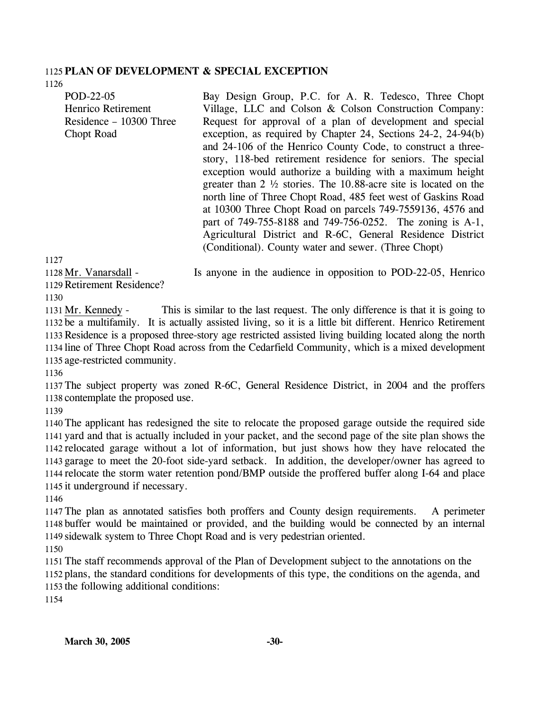# 1125 **PLAN OF DEVELOPMENT & SPECIAL EXCEPTION**

1126

POD-22-05 Henrico Retirement Residence – 10300 Three Chopt Road Bay Design Group, P.C. for A. R. Tedesco, Three Chopt Village, LLC and Colson & Colson Construction Company: Request for approval of a plan of development and special exception, as required by Chapter 24, Sections 24-2, 24-94(b) and 24-106 of the Henrico County Code, to construct a threestory, 118-bed retirement residence for seniors. The special exception would authorize a building with a maximum height greater than 2 ½ stories. The 10.88-acre site is located on the north line of Three Chopt Road, 485 feet west of Gaskins Road at 10300 Three Chopt Road on parcels 749-7559136, 4576 and part of 749-755-8188 and 749-756-0252. The zoning is A-1, Agricultural District and R-6C, General Residence District (Conditional). County water and sewer. (Three Chopt)

1127

1128 Mr. Vanarsdall -

Is anyone in the audience in opposition to POD-22-05, Henrico

1129 Retirement Residence?

1130

This is similar to the last request. The only difference is that it is going to 1132 be a multifamily. It is actually assisted living, so it is a little bit different. Henrico Retirement 1133 Residence is a proposed three-story age restricted assisted living building located along the north line of Three Chopt Road across from the Cedarfield Community, which is a mixed development 1134 1135 age-restricted community. 1131 Mr. Kennedy -

1136

1137 The subject property was zoned R-6C, General Residence District, in 2004 and the proffers 1138 contemplate the proposed use.

1139

 The applicant has redesigned the site to relocate the proposed garage outside the required side yard and that is actually included in your packet, and the second page of the site plan shows the relocated garage without a lot of information, but just shows how they have relocated the garage to meet the 20-foot side-yard setback. In addition, the developer/owner has agreed to relocate the storm water retention pond/BMP outside the proffered buffer along I-64 and place it underground if necessary.

1146

1147 The plan as annotated satisfies both proffers and County design requirements. A perimeter 1148 buffer would be maintained or provided, and the building would be connected by an internal 1149 sidewalk system to Three Chopt Road and is very pedestrian oriented.

1150

1151 The staff recommends approval of the Plan of Development subject to the annotations on the 1152 plans, the standard conditions for developments of this type, the conditions on the agenda, and 1153 the following additional conditions:

1154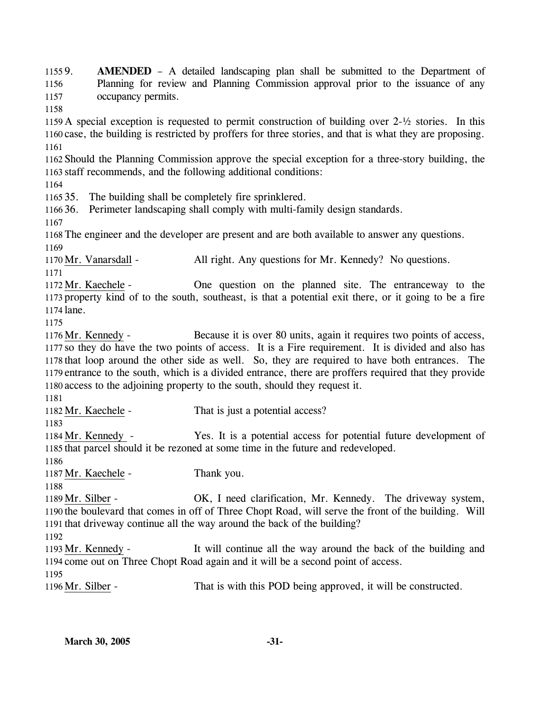1155 9. 1156 1157 1158 1159 A special exception is requested to permit construction of building over 2-½ stories. In this 1160 case, the building is restricted by proffers for three stories, and that is what they are proposing. 1161 1162 Should the Planning Commission approve the special exception for a three-story building, the 1163 staff recommends, and the following additional conditions: 1164 1165 35. The building shall be completely fire sprinklered. 1166 36. Perimeter landscaping shall comply with multi-family design standards. 1167 1168 The engineer and the developer are present and are both available to answer any questions. 1169 AMENDED – A detailed landscaping plan shall be submitted to the Department of Planning for review and Planning Commission approval prior to the issuance of any occupancy permits. 1170 Mr. Vanarsdall - All right. Any questions for Mr. Kennedy? No questions. 1171 One question on the planned site. The entranceway to the 1173 property kind of to the south, southeast, is that a potential exit there, or it going to be a fire 1174 lane. 1172 Mr. Kaechele -1175 Because it is over 80 units, again it requires two points of access, 1177 so they do have the two points of access. It is a Fire requirement. It is divided and also has 1178 that loop around the other side as well. So, they are required to have both entrances. The 1179 entrance to the south, which is a divided entrance, there are proffers required that they provide 1180 access to the adjoining property to the south, should they request it. 1176 Mr. Kennedy -1181 1182 Mr. Kaechele - That is just a potential access? 1183 Yes. It is a potential access for potential future development of 1185 that parcel should it be rezoned at some time in the future and redeveloped. 1184 Mr. Kennedy -1186 1187 Mr. Kaechele - Thank you. 1188 OK, I need clarification, Mr. Kennedy. The driveway system, 1190 the boulevard that comes in off of Three Chopt Road, will serve the front of the building. Will 1191 that driveway continue all the way around the back of the building? 1189 Mr. Silber -1192 It will continue all the way around the back of the building and 1194 come out on Three Chopt Road again and it will be a second point of access. 1193 Mr. Kennedy -1195 1196 Mr. Silber - That is with this POD being approved, it will be constructed.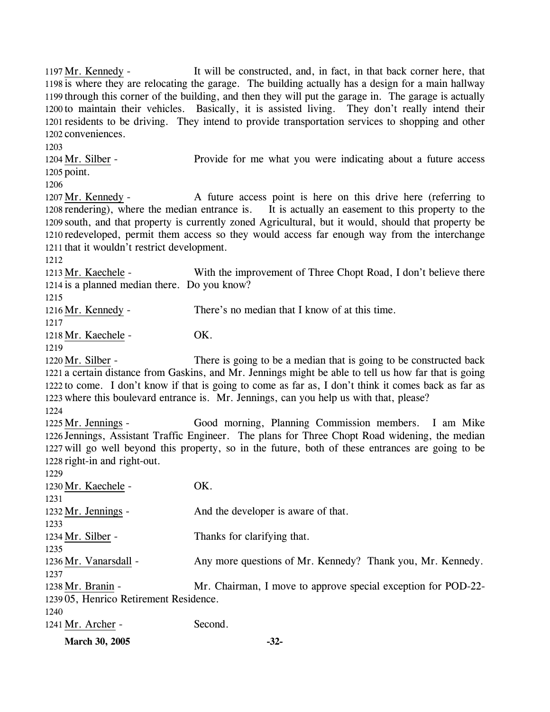It will be constructed, and, in fact, in that back corner here, that 1198 is where they are relocating the garage. The building actually has a design for a main hallway 1199 through this corner of the building, and then they will put the garage in. The garage is actually 1200 to maintain their vehicles. Basically, it is assisted living. They don't really intend their 1201 residents to be driving. They intend to provide transportation services to shopping and other 1202 conveniences. 1197 Mr. Kennedy -1203

Provide for me what you were indicating about a future access  $1205$  point. 1204 Mr. Silber -

1206

A future access point is here on this drive here (referring to It is actually an easement to this property to the 1209 south, and that property is currently zoned Agricultural, but it would, should that property be 1210 redeveloped, permit them access so they would access far enough way from the interchange 1211 that it wouldn't restrict development. 1207 Mr. Kennedy -1208 rendering), where the median entrance is.

1212

With the improvement of Three Chopt Road, I don't believe there 1214 is a planned median there. Do you know? 1213 Mr. Kaechele -

1215

1216 Mr. Kennedy - There's no median that I know of at this time.

1217

1218 Mr. Kaechele - OK.

1219

There is going to be a median that is going to be constructed back 1221 a certain distance from Gaskins, and Mr. Jennings might be able to tell us how far that is going 1222 to come. I don't know if that is going to come as far as, I don't think it comes back as far as 1223 where this boulevard entrance is. Mr. Jennings, can you help us with that, please? 1220 Mr. Silber -

1224

Good morning, Planning Commission members. I am Mike 1226 Jennings, Assistant Traffic Engineer. The plans for Three Chopt Road widening, the median 1227 will go well beyond this property, so in the future, both of these entrances are going to be 1228 right-in and right-out. 1225 Mr. Jennings -

1229 1230 Mr. Kaechele - OK. 1231 1232 Mr. Jennings - And the developer is aware of that. 1233 1234 Mr. Silber - Thanks for clarifying that. 1235 1236 Mr. Vanarsdall - Any more questions of Mr. Kennedy? Thank you, Mr. Kennedy. 1237 Mr. Chairman, I move to approve special exception for POD-22-05, Henrico Retirement Residence. 1239 1238 Mr. Branin -1240 1241 Mr. Archer - Second.

**March 30, 2005 -32-**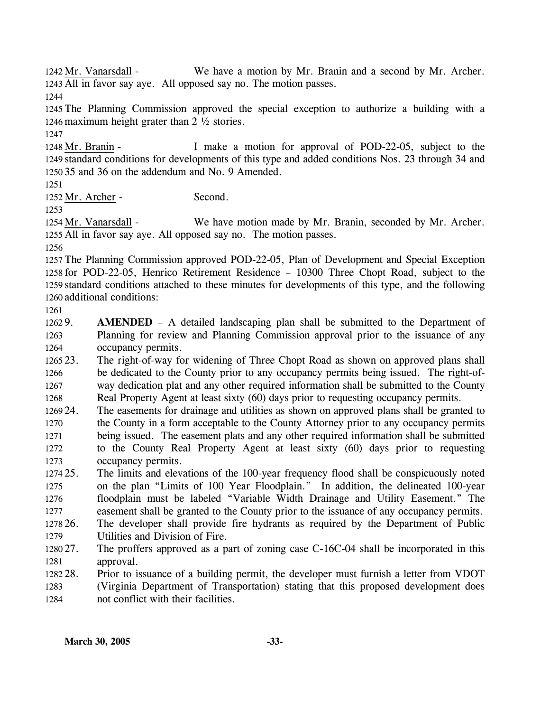We have a motion by Mr. Branin and a second by Mr. Archer. 1243 All in favor say aye. All opposed say no. The motion passes. 1242 Mr. Vanarsdall -

1244

1245 The Planning Commission approved the special exception to authorize a building with a 1246 maximum height grater than 2 ½ stories.

1247

I make a motion for approval of POD-22-05, subject to the 1249 standard conditions for developments of this type and added conditions Nos. 23 through 34 and 35 and 36 on the addendum and No. 9 Amended. 1250 1248 Mr. Branin -

1251

1252 Mr. Archer - Second.

1253

We have motion made by Mr. Branin, seconded by Mr. Archer. 1255 All in favor say aye. All opposed say no. The motion passes. 1254 Mr. Vanarsdall -

1256

 The Planning Commission approved POD-22-05, Plan of Development and Special Exception for POD-22-05, Henrico Retirement Residence – 10300 Three Chopt Road, subject to the standard conditions attached to these minutes for developments of this type, and the following additional conditions:

1261

1262 9. 1263 1264 AMENDED – A detailed landscaping plan shall be submitted to the Department of Planning for review and Planning Commission approval prior to the issuance of any occupancy permits.

1265 23. 1266 1267 1268 The right-of-way for widening of Three Chopt Road as shown on approved plans shall be dedicated to the County prior to any occupancy permits being issued. The right-ofway dedication plat and any other required information shall be submitted to the County Real Property Agent at least sixty (60) days prior to requesting occupancy permits.

1269 24. 1270 1271 1272 1273 The easements for drainage and utilities as shown on approved plans shall be granted to the County in a form acceptable to the County Attorney prior to any occupancy permits being issued. The easement plats and any other required information shall be submitted to the County Real Property Agent at least sixty (60) days prior to requesting occupancy permits.

1274 25. 1275 1276 1277 25. The limits and elevations of the 100-year frequency flood shall be conspicuously noted on the plan "Limits of 100 Year Floodplain." In addition, the delineated 100-year floodplain must be labeled "Variable Width Drainage and Utility Easement." The easement shall be granted to the County prior to the issuance of any occupancy permits.

1278 26. 1279 26. The developer shall provide fire hydrants as required by the Department of Public Utilities and Division of Fire.

1280 27. 1281 The proffers approved as a part of zoning case C-16C-04 shall be incorporated in this approval.

1282 28. 1283 1284 Prior to issuance of a building permit, the developer must furnish a letter from VDOT (Virginia Department of Transportation) stating that this proposed development does not conflict with their facilities.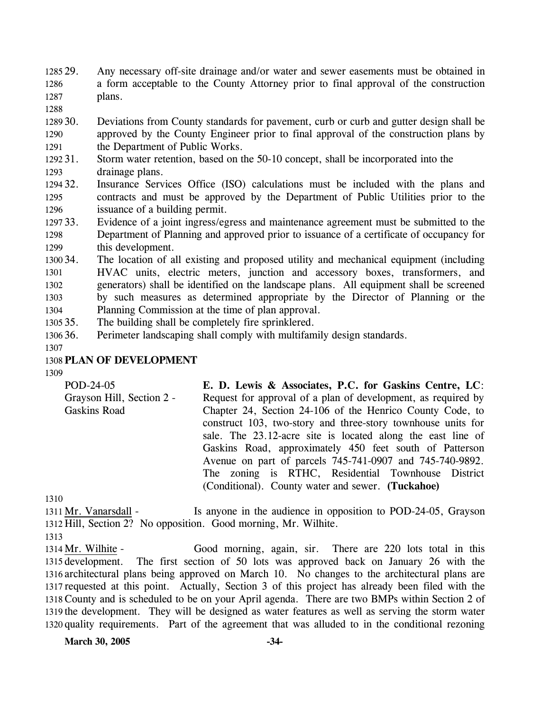1285 29. 1286 1287 Any necessary off-site drainage and/or water and sewer easements must be obtained in a form acceptable to the County Attorney prior to final approval of the construction plans.

1288

1289 30. 1290 1291 30. Deviations from County standards for pavement, curb or curb and gutter design shall be approved by the County Engineer prior to final approval of the construction plans by the Department of Public Works.

- 1292 31. 1293 Storm water retention, based on the 50-10 concept, shall be incorporated into the drainage plans.
- 1294 32. 1295 1296 Insurance Services Office (ISO) calculations must be included with the plans and contracts and must be approved by the Department of Public Utilities prior to the issuance of a building permit.
- 1297 33. 1298 1299 Evidence of a joint ingress/egress and maintenance agreement must be submitted to the Department of Planning and approved prior to issuance of a certificate of occupancy for this development.
- 1300 34. 1301 1302 1303 1304 The location of all existing and proposed utility and mechanical equipment (including HVAC units, electric meters, junction and accessory boxes, transformers, and generators) shall be identified on the landscape plans. All equipment shall be screened by such measures as determined appropriate by the Director of Planning or the Planning Commission at the time of plan approval.
- 1305 35. The building shall be completely fire sprinklered.
- 1306 36. Perimeter landscaping shall comply with multifamily design standards.
- 1307

# 1308 **PLAN OF DEVELOPMENT**

1309

POD-24-05 Grayson Hill, Section 2 - Gaskins Road **E. D. Lewis & Associates, P.C. for Gaskins Centre, LC**: Request for approval of a plan of development, as required by Chapter 24, Section 24-106 of the Henrico County Code, to construct 103, two-story and three-story townhouse units for sale. The 23.12-acre site is located along the east line of Gaskins Road, approximately 450 feet south of Patterson Avenue on part of parcels 745-741-0907 and 745-740-9892. The zoning is RTHC, Residential Townhouse District (Conditional). County water and sewer. **(Tuckahoe)**

1310

Is anyone in the audience in opposition to POD-24-05, Grayson 1312 Hill, Section 2? No opposition. Good morning, Mr. Wilhite. 1311 Mr. Vanarsdall -

1313

Good morning, again, sir. There are 220 lots total in this The first section of 50 lots was approved back on January 26 with the 1316 architectural plans being approved on March 10. No changes to the architectural plans are 1317 requested at this point. Actually, Section 3 of this project has already been filed with the 1318 County and is scheduled to be on your April agenda. There are two BMPs within Section 2 of 1319 the development. They will be designed as water features as well as serving the storm water 1320 quality requirements. Part of the agreement that was alluded to in the conditional rezoning 1314 Mr. Wilhite -1315 development.

**March 30, 2005 -34-**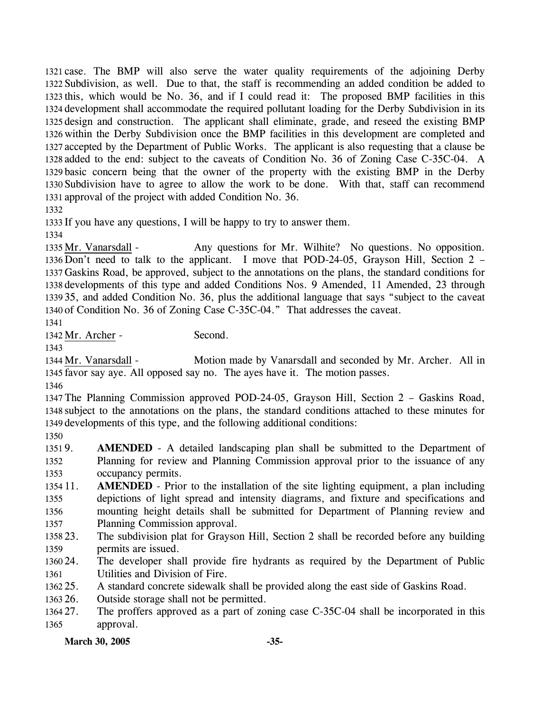case. The BMP will also serve the water quality requirements of the adjoining Derby Subdivision, as well. Due to that, the staff is recommending an added condition be added to this, which would be No. 36, and if I could read it: The proposed BMP facilities in this development shall accommodate the required pollutant loading for the Derby Subdivision in its design and construction. The applicant shall eliminate, grade, and reseed the existing BMP within the Derby Subdivision once the BMP facilities in this development are completed and accepted by the Department of Public Works. The applicant is also requesting that a clause be added to the end: subject to the caveats of Condition No. 36 of Zoning Case C-35C-04. A basic concern being that the owner of the property with the existing BMP in the Derby Subdivision have to agree to allow the work to be done. With that, staff can recommend approval of the project with added Condition No. 36.

1332

1333 If you have any questions, I will be happy to try to answer them.

1334

Any questions for Mr. Wilhite? No questions. No opposition. 1336 Don't need to talk to the applicant. I move that POD-24-05, Grayson Hill, Section 2 – 1337 Gaskins Road, be approved, subject to the annotations on the plans, the standard conditions for 1338 developments of this type and added Conditions Nos. 9 Amended, 11 Amended, 23 through 35, and added Condition No. 36, plus the additional language that says "subject to the caveat 1339 1340 of Condition No. 36 of Zoning Case C-35C-04." That addresses the caveat. 1335 Mr. Vanarsdall -

1341

1342 Mr. Archer - Second.

1343

Motion made by Vanarsdall and seconded by Mr. Archer. All in 1345 favor say aye. All opposed say no. The ayes have it. The motion passes. 1344 Mr. Vanarsdall -

1346

1347 The Planning Commission approved POD-24-05, Grayson Hill, Section 2 – Gaskins Road, 1348 subject to the annotations on the plans, the standard conditions attached to these minutes for 1349 developments of this type, and the following additional conditions:

1350

13519. 1352 1353 **AMENDED** - A detailed landscaping plan shall be submitted to the Department of Planning for review and Planning Commission approval prior to the issuance of any occupancy permits.

1354 11. 1355 1356 1357 **AMENDED** - Prior to the installation of the site lighting equipment, a plan including depictions of light spread and intensity diagrams, and fixture and specifications and mounting height details shall be submitted for Department of Planning review and Planning Commission approval.

1358 23. 1359 The subdivision plat for Grayson Hill, Section 2 shall be recorded before any building permits are issued.

1360 24. 1361 The developer shall provide fire hydrants as required by the Department of Public Utilities and Division of Fire.

 $136225$ . A standard concrete sidewalk shall be provided along the east side of Gaskins Road.

1363 26. Outside storage shall not be permitted.

1364 27. 1365 The proffers approved as a part of zoning case C-35C-04 shall be incorporated in this approval.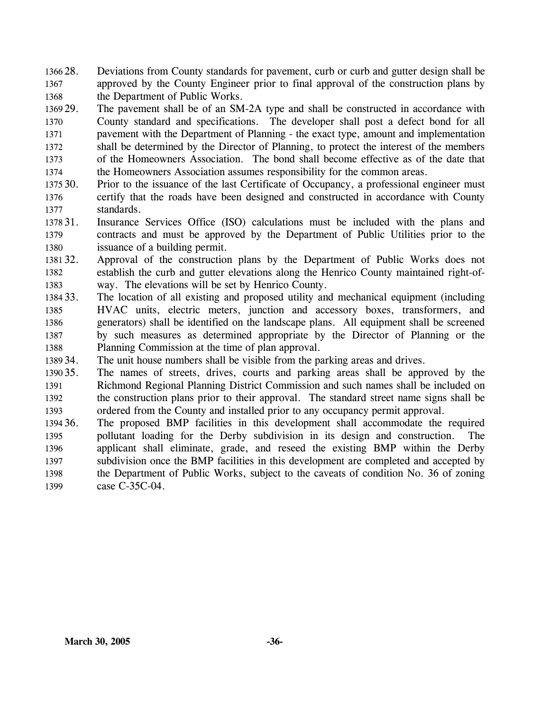- 1366 28. 1367 1368 Deviations from County standards for pavement, curb or curb and gutter design shall be approved by the County Engineer prior to final approval of the construction plans by the Department of Public Works.
- 1369 29. 1370 1371 1372 1373 1374 The pavement shall be of an SM-2A type and shall be constructed in accordance with County standard and specifications. The developer shall post a defect bond for all pavement with the Department of Planning - the exact type, amount and implementation shall be determined by the Director of Planning, to protect the interest of the members of the Homeowners Association. The bond shall become effective as of the date that the Homeowners Association assumes responsibility for the common areas.
- 1375 30. 1376 1377 30. Prior to the issuance of the last Certificate of Occupancy, a professional engineer must certify that the roads have been designed and constructed in accordance with County standards.
- 1378 31. 1379 1380 Insurance Services Office (ISO) calculations must be included with the plans and contracts and must be approved by the Department of Public Utilities prior to the issuance of a building permit.
- 1381 32. 1382 1383 Approval of the construction plans by the Department of Public Works does not establish the curb and gutter elevations along the Henrico County maintained right-ofway. The elevations will be set by Henrico County.
- 1384 33. 1385 1386 1387 1388 The location of all existing and proposed utility and mechanical equipment (including HVAC units, electric meters, junction and accessory boxes, transformers, and generators) shall be identified on the landscape plans. All equipment shall be screened by such measures as determined appropriate by the Director of Planning or the Planning Commission at the time of plan approval.
- 1389 34. The unit house numbers shall be visible from the parking areas and drives.
- 1390 35. 1391 1392 1393 The names of streets, drives, courts and parking areas shall be approved by the Richmond Regional Planning District Commission and such names shall be included on the construction plans prior to their approval. The standard street name signs shall be ordered from the County and installed prior to any occupancy permit approval.
- 1394 36. 1395 1396 1397 1398 1399 The proposed BMP facilities in this development shall accommodate the required pollutant loading for the Derby subdivision in its design and construction. The applicant shall eliminate, grade, and reseed the existing BMP within the Derby subdivision once the BMP facilities in this development are completed and accepted by the Department of Public Works, subject to the caveats of condition No. 36 of zoning case C-35C-04.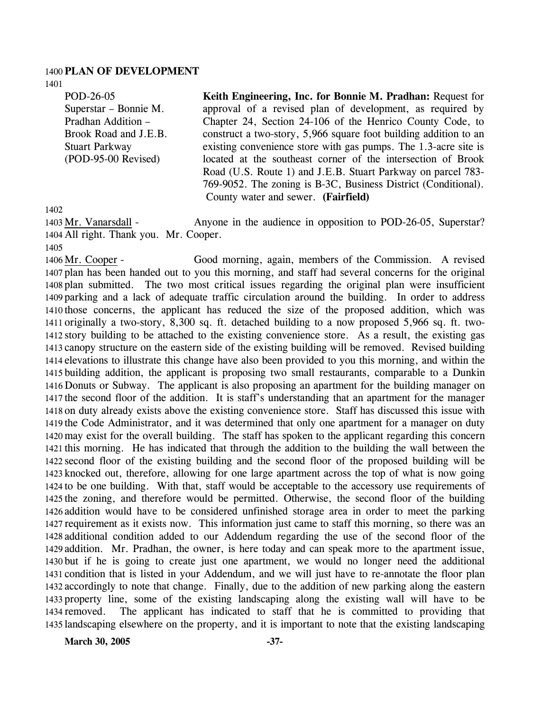#### 1400 **PLAN OF DEVELOPMENT**

1401

POD-26-05 Superstar – Bonnie M. Pradhan Addition – Brook Road and J.E.B. Stuart Parkway (POD-95-00 Revised)

**Keith Engineering, Inc. for Bonnie M. Pradhan:** Request for approval of a revised plan of development, as required by Chapter 24, Section 24-106 of the Henrico County Code, to construct a two-story, 5,966 square foot building addition to an existing convenience store with gas pumps. The 1.3-acre site is located at the southeast corner of the intersection of Brook Road (U.S. Route 1) and J.E.B. Stuart Parkway on parcel 783- 769-9052. The zoning is B-3C, Business District (Conditional). County water and sewer. **(Fairfield)** 

1402

Anyone in the audience in opposition to POD-26-05, Superstar? 1404 All right. Thank you. Mr. Cooper. 1403 Mr. Vanarsdall -

1405

1406 Mr. Cooper -

Good morning, again, members of the Commission. A revised 1407 plan has been handed out to you this morning, and staff had several concerns for the original 1408 plan submitted. The two most critical issues regarding the original plan were insufficient 1409 parking and a lack of adequate traffic circulation around the building. In order to address 1410 those concerns, the applicant has reduced the size of the proposed addition, which was 1411 originally a two-story, 8,300 sq. ft. detached building to a now proposed 5,966 sq. ft. two-1412 story building to be attached to the existing convenience store. As a result, the existing gas 1413 canopy structure on the eastern side of the existing building will be removed. Revised building 1414 elevations to illustrate this change have also been provided to you this morning, and within the 1415 building addition, the applicant is proposing two small restaurants, comparable to a Dunkin 1416 Donuts or Subway. The applicant is also proposing an apartment for the building manager on 1417 the second floor of the addition. It is staff's understanding that an apartment for the manager 1418 on duty already exists above the existing convenience store. Staff has discussed this issue with 1419 the Code Administrator, and it was determined that only one apartment for a manager on duty 1420 may exist for the overall building. The staff has spoken to the applicant regarding this concern 1421 this morning. He has indicated that through the addition to the building the wall between the 1422 second floor of the existing building and the second floor of the proposed building will be 1423 knocked out, therefore, allowing for one large apartment across the top of what is now going 1424 to be one building. With that, staff would be acceptable to the accessory use requirements of 1425 the zoning, and therefore would be permitted. Otherwise, the second floor of the building 1426 addition would have to be considered unfinished storage area in order to meet the parking 1427 requirement as it exists now. This information just came to staff this morning, so there was an 1428 additional condition added to our Addendum regarding the use of the second floor of the 1429 addition. Mr. Pradhan, the owner, is here today and can speak more to the apartment issue, 1430 but if he is going to create just one apartment, we would no longer need the additional 1431 condition that is listed in your Addendum, and we will just have to re-annotate the floor plan 1432 accordingly to note that change. Finally, due to the addition of new parking along the eastern 1433 property line, some of the existing landscaping along the existing wall will have to be The applicant has indicated to staff that he is committed to providing that 1435 landscaping elsewhere on the property, and it is important to note that the existing landscaping 1434 removed.

March 30, 2005 -37-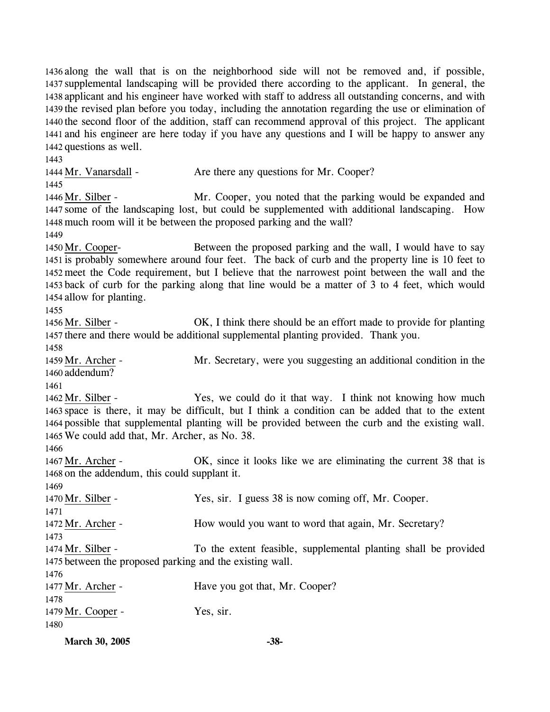along the wall that is on the neighborhood side will not be removed and, if possible, supplemental landscaping will be provided there according to the applicant. In general, the applicant and his engineer have worked with staff to address all outstanding concerns, and with the revised plan before you today, including the annotation regarding the use or elimination of 1440 the second floor of the addition, staff can recommend approval of this project. The applicant and his engineer are here today if you have any questions and I will be happy to answer any questions as well. 1443

1444 Mr. Vanarsdall - Are there any questions for Mr. Cooper? 1445 Mr. Cooper, you noted that the parking would be expanded and 1447 some of the landscaping lost, but could be supplemented with additional landscaping. How 1448 much room will it be between the proposed parking and the wall? 1446 Mr. Silber -

1449

Between the proposed parking and the wall, I would have to say 1451 is probably somewhere around four feet. The back of curb and the property line is 10 feet to 1452 meet the Code requirement, but I believe that the narrowest point between the wall and the 1453 back of curb for the parking along that line would be a matter of 3 to 4 feet, which would 1454 allow for planting. 1450 Mr. Cooper-

1455

OK, I think there should be an effort made to provide for planting 1457 there and there would be additional supplemental planting provided. Thank you. 1456 Mr. Silber -

1458

Mr. Secretary, were you suggesting an additional condition in the 1460 addendum? 1459 Mr. Archer -

1461

Yes, we could do it that way. I think not knowing how much 1463 space is there, it may be difficult, but I think a condition can be added that to the extent 1464 possible that supplemental planting will be provided between the curb and the existing wall. We could add that, Mr. Archer, as No. 38. 1465 1462 Mr. Silber -

1466

OK, since it looks like we are eliminating the current 38 that is 1468 on the addendum, this could supplant it. 1467 Mr. Archer -

1469

1471

1470 Mr. Silber - Yes, sir. I guess 38 is now coming off, Mr. Cooper.

1472 Mr. Archer - How would you want to word that again, Mr. Secretary? 1473

To the extent feasible, supplemental planting shall be provided 1475 between the proposed parking and the existing wall. 1474 Mr. Silber -

1476 1477 Mr. Archer - Have you got that, Mr. Cooper? 1478 1479 Mr. Cooper - Yes, sir. 1480

**March 30, 2005 -38-**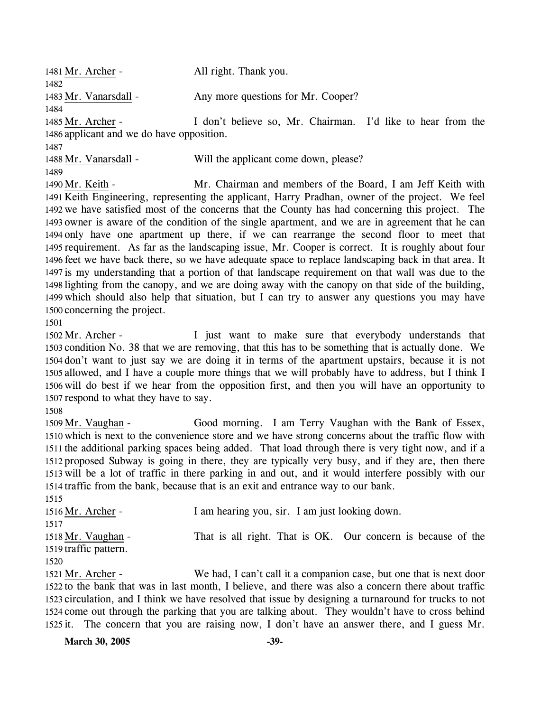| 1481 Mr. Archer -                         | All right. Thank you.                                       |  |
|-------------------------------------------|-------------------------------------------------------------|--|
| 1482                                      |                                                             |  |
| 1483 Mr. Vanarsdall -                     | Any more questions for Mr. Cooper?                          |  |
| 1484                                      |                                                             |  |
| 1485 Mr. Archer -                         | I don't believe so, Mr. Chairman. I'd like to hear from the |  |
| 1486 applicant and we do have opposition. |                                                             |  |
| 1487                                      |                                                             |  |
| 1488 Mr. Vanarsdall -                     | Will the applicant come down, please?                       |  |
| 1489                                      |                                                             |  |
| 1490 Mr. Keith -                          | Mr. Chairman and members of the Board, I am Jeff Keith with |  |
|                                           |                                                             |  |

1491 Keith Engineering, representing the applicant, Harry Pradhan, owner of the project. We feel 1492 we have satisfied most of the concerns that the County has had concerning this project. The 1493 owner is aware of the condition of the single apartment, and we are in agreement that he can 1494 only have one apartment up there, if we can rearrange the second floor to meet that 1495 requirement. As far as the landscaping issue, Mr. Cooper is correct. It is roughly about four 1496 feet we have back there, so we have adequate space to replace landscaping back in that area. It 1497 is my understanding that a portion of that landscape requirement on that wall was due to the 1498 lighting from the canopy, and we are doing away with the canopy on that side of the building, 1499 which should also help that situation, but I can try to answer any questions you may have 1500 concerning the project.

1501

I just want to make sure that everybody understands that 1503 condition No. 38 that we are removing, that this has to be something that is actually done. We 1504 don't want to just say we are doing it in terms of the apartment upstairs, because it is not 1505 allowed, and I have a couple more things that we will probably have to address, but I think I 1506 will do best if we hear from the opposition first, and then you will have an opportunity to 1507 respond to what they have to say. 1502 Mr. Archer -

1508

Good morning. I am Terry Vaughan with the Bank of Essex, 1510 which is next to the convenience store and we have strong concerns about the traffic flow with 1511 the additional parking spaces being added. That load through there is very tight now, and if a 1512 proposed Subway is going in there, they are typically very busy, and if they are, then there 1513 will be a lot of traffic in there parking in and out, and it would interfere possibly with our 1514 traffic from the bank, because that is an exit and entrance way to our bank. 1509 Mr. Vaughan -

| I am hearing you, sir. I am just looking down.                      |
|---------------------------------------------------------------------|
|                                                                     |
| That is all right. That is OK. Our concern is because of the        |
|                                                                     |
|                                                                     |
| We had, I can't call it a companion case, but one that is next door |
|                                                                     |

1522 to the bank that was in last month, I believe, and there was also a concern there about traffic 1523 circulation, and I think we have resolved that issue by designing a turnaround for trucks to not 1524 come out through the parking that you are talking about. They wouldn't have to cross behind 1525 it. The concern that you are raising now, I don't have an answer there, and I guess Mr.

**March 30, 2005** -39-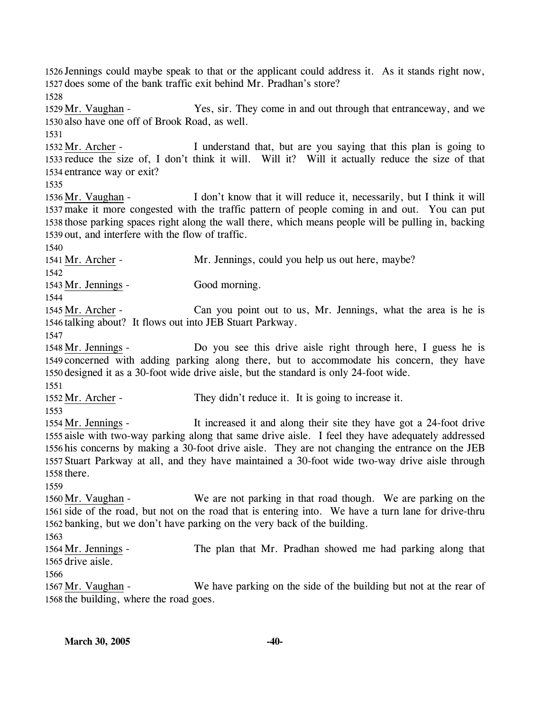1526 Jennings could maybe speak to that or the applicant could address it. As it stands right now, 1527 does some of the bank traffic exit behind Mr. Pradhan's store?

1528

Yes, sir. They come in and out through that entranceway, and we 1530 also have one off of Brook Road, as well. 1529 Mr. Vaughan -

1531

I understand that, but are you saying that this plan is going to 1533 reduce the size of, I don't think it will. Will it? Will it actually reduce the size of that 1534 entrance way or exit? 1532 Mr. Archer -

1535

I don't know that it will reduce it, necessarily, but I think it will 1537 make it more congested with the traffic pattern of people coming in and out. You can put 1538 those parking spaces right along the wall there, which means people will be pulling in, backing 1539 out, and interfere with the flow of traffic. 1536 Mr. Vaughan -

1540

1541 Mr. Archer - Mr. Jennings, could you help us out here, maybe? 1542

1543 Mr. Jennings - Good morning. 1544

Can you point out to us, Mr. Jennings, what the area is he is 1546 talking about? It flows out into JEB Stuart Parkway. 1545 Mr. Archer -

1547

Do you see this drive aisle right through here, I guess he is 1549 concerned with adding parking along there, but to accommodate his concern, they have 1550 designed it as a 30-foot wide drive aisle, but the standard is only 24-foot wide. 1548 Mr. Jennings -

1551

1552 Mr. Archer - They didn't reduce it. It is going to increase it.

1553

It increased it and along their site they have got a 24-foot drive 1555 aisle with two-way parking along that same drive aisle. I feel they have adequately addressed 1556 his concerns by making a 30-foot drive aisle. They are not changing the entrance on the JEB 1557 Stuart Parkway at all, and they have maintained a 30-foot wide two-way drive aisle through 1558 there. 1554 Mr. Jennings -

1559

We are not parking in that road though. We are parking on the 1561 side of the road, but not on the road that is entering into. We have a turn lane for drive-thru 1562 banking, but we don't have parking on the very back of the building. 1560 Mr. Vaughan -

1563

The plan that Mr. Pradhan showed me had parking along that 1565 drive aisle. 1564 Mr. Jennings -

1566

We have parking on the side of the building but not at the rear of 1568 the building, where the road goes. 1567 Mr. Vaughan -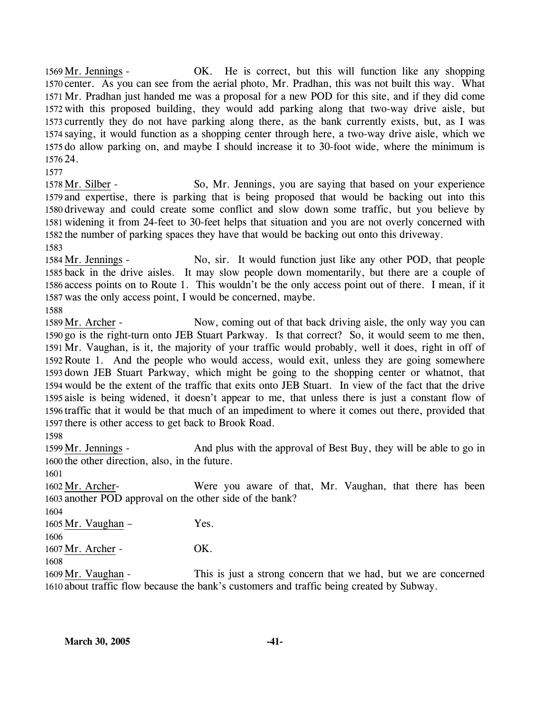OK. He is correct, but this will function like any shopping 1570 center. As you can see from the aerial photo, Mr. Pradhan, this was not built this way. What 1571 Mr. Pradhan just handed me was a proposal for a new POD for this site, and if they did come 1572 with this proposed building, they would add parking along that two-way drive aisle, but 1573 currently they do not have parking along there, as the bank currently exists, but, as I was 1574 saying, it would function as a shopping center through here, a two-way drive aisle, which we 1575 do allow parking on, and maybe I should increase it to 30-foot wide, where the minimum is 24. 1576 1569 Mr. Jennings -

1577

So, Mr. Jennings, you are saying that based on your experience 1579 and expertise, there is parking that is being proposed that would be backing out into this 1580 driveway and could create some conflict and slow down some traffic, but you believe by 1581 widening it from 24-feet to 30-feet helps that situation and you are not overly concerned with 1582 the number of parking spaces they have that would be backing out onto this driveway. 1578 Mr. Silber -

1583

No, sir. It would function just like any other POD, that people 1585 back in the drive aisles. It may slow people down momentarily, but there are a couple of 1586 access points on to Route 1. This wouldn't be the only access point out of there. I mean, if it 1587 was the only access point, I would be concerned, maybe. 1584 Mr. Jennings -

1588

Now, coming out of that back driving aisle, the only way you can 1590 go is the right-turn onto JEB Stuart Parkway. Is that correct? So, it would seem to me then, 1591 Mr. Vaughan, is it, the majority of your traffic would probably, well it does, right in off of 1592 Route 1. And the people who would access, would exit, unless they are going somewhere 1593 down JEB Stuart Parkway, which might be going to the shopping center or whatnot, that 1594 would be the extent of the traffic that exits onto JEB Stuart. In view of the fact that the drive 1595 aisle is being widened, it doesn't appear to me, that unless there is just a constant flow of 1596 traffic that it would be that much of an impediment to where it comes out there, provided that 1597 there is other access to get back to Brook Road. 1589 Mr. Archer -

1598

And plus with the approval of Best Buy, they will be able to go in 1600 the other direction, also, in the future. 1599 Mr. Jennings -

1601

Were you aware of that, Mr. Vaughan, that there has been 1603 another POD approval on the other side of the bank? 1602 Mr. Archer-

1604

 $1605$  Mr. Vaughan – Yes.

1606

1607 Mr. Archer - OK.

1608

This is just a strong concern that we had, but we are concerned 1610 about traffic flow because the bank's customers and traffic being created by Subway. 1609 Mr. Vaughan -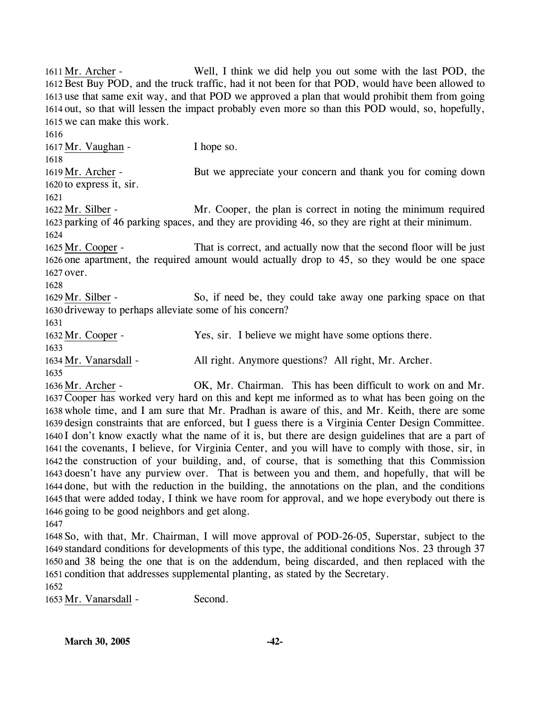Well, I think we did help you out some with the last POD, the 1612 Best Buy POD, and the truck traffic, had it not been for that POD, would have been allowed to 1613 use that same exit way, and that POD we approved a plan that would prohibit them from going 1614 out, so that will lessen the impact probably even more so than this POD would, so, hopefully, 1615 we can make this work. 1611 Mr. Archer -1616 1617 Mr. Vaughan - I hope so. 1618 But we appreciate your concern and thank you for coming down  $1620$  to express it, sir. 1619 Mr. Archer -1621 Mr. Cooper, the plan is correct in noting the minimum required 1623 parking of 46 parking spaces, and they are providing 46, so they are right at their minimum. 1622 Mr. Silber -1624 That is correct, and actually now that the second floor will be just 1626 one apartment, the required amount would actually drop to 45, so they would be one space 1627 over. 1625 Mr. Cooper -1628 So, if need be, they could take away one parking space on that 1630 driveway to perhaps alleviate some of his concern? 1629 Mr. Silber -1631 1632 Mr. Cooper - Yes, sir. I believe we might have some options there. 1633 1634 Mr. Vanarsdall - All right. Anymore questions? All right, Mr. Archer. 1635 OK, Mr. Chairman. This has been difficult to work on and Mr. 1637 Cooper has worked very hard on this and kept me informed as to what has been going on the 1638 whole time, and I am sure that Mr. Pradhan is aware of this, and Mr. Keith, there are some 1639 design constraints that are enforced, but I guess there is a Virginia Center Design Committee. 1640 I don't know exactly what the name of it is, but there are design guidelines that are a part of 1641 the covenants, I believe, for Virginia Center, and you will have to comply with those, sir, in 1642 the construction of your building, and, of course, that is something that this Commission 1643 doesn't have any purview over. That is between you and them, and hopefully, that will be 1644 done, but with the reduction in the building, the annotations on the plan, and the conditions 1645 that were added today, I think we have room for approval, and we hope everybody out there is 1646 going to be good neighbors and get along. 1636 Mr. Archer -1647

 So, with that, Mr. Chairman, I will move approval of POD-26-05, Superstar, subject to the standard conditions for developments of this type, the additional conditions Nos. 23 through 37 and 38 being the one that is on the addendum, being discarded, and then replaced with the condition that addresses supplemental planting, as stated by the Secretary.

1652

1653 Mr. Vanarsdall - Second.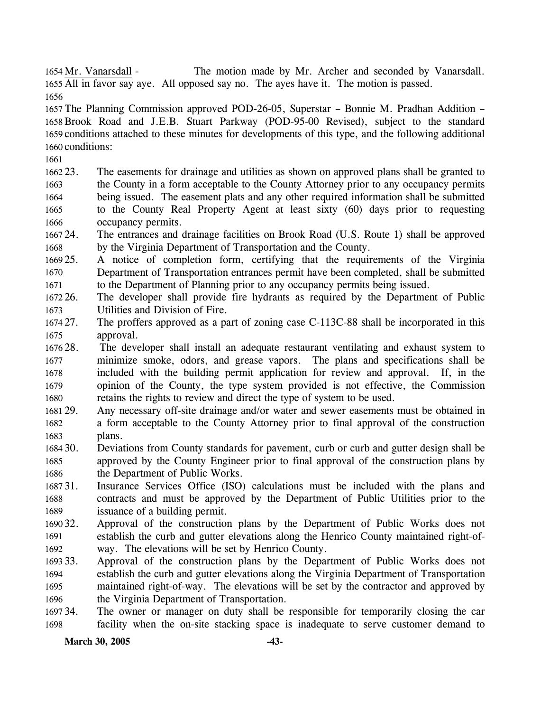The motion made by Mr. Archer and seconded by Vanarsdall. 1655 All in favor say aye. All opposed say no. The ayes have it. The motion is passed. 1654 Mr. Vanarsdall -

1656

 The Planning Commission approved POD-26-05, Superstar – Bonnie M. Pradhan Addition – Brook Road and J.E.B. Stuart Parkway (POD-95-00 Revised), subject to the standard conditions attached to these minutes for developments of this type, and the following additional conditions:

1661

1662 23. 1663 1664 1665 1666 The easements for drainage and utilities as shown on approved plans shall be granted to the County in a form acceptable to the County Attorney prior to any occupancy permits being issued. The easement plats and any other required information shall be submitted to the County Real Property Agent at least sixty (60) days prior to requesting occupancy permits.

- 166724. 1668 The entrances and drainage facilities on Brook Road (U.S. Route 1) shall be approved by the Virginia Department of Transportation and the County.
- 1669 25. 1670 1671 25. A notice of completion form, certifying that the requirements of the Virginia Department of Transportation entrances permit have been completed, shall be submitted to the Department of Planning prior to any occupancy permits being issued.
- 1672.26. 1673 The developer shall provide fire hydrants as required by the Department of Public Utilities and Division of Fire.
- 1674 27. 1675 The proffers approved as a part of zoning case C-113C-88 shall be incorporated in this approval.
- 1676 28. 1677 1678 1679 1680 The developer shall install an adequate restaurant ventilating and exhaust system to minimize smoke, odors, and grease vapors. The plans and specifications shall be included with the building permit application for review and approval. If, in the opinion of the County, the type system provided is not effective, the Commission retains the rights to review and direct the type of system to be used.
- 1681 29. 1682 1683 Any necessary off-site drainage and/or water and sewer easements must be obtained in a form acceptable to the County Attorney prior to final approval of the construction plans.
- 1684 30. 1685 1686 30. Deviations from County standards for pavement, curb or curb and gutter design shall be approved by the County Engineer prior to final approval of the construction plans by the Department of Public Works.
- 168731. 1688 1689 Insurance Services Office (ISO) calculations must be included with the plans and contracts and must be approved by the Department of Public Utilities prior to the issuance of a building permit.
- 1690 32. 1691 1692 Approval of the construction plans by the Department of Public Works does not establish the curb and gutter elevations along the Henrico County maintained right-ofway. The elevations will be set by Henrico County.
- 1693 33. 1694 1695 1696 Approval of the construction plans by the Department of Public Works does not establish the curb and gutter elevations along the Virginia Department of Transportation maintained right-of-way. The elevations will be set by the contractor and approved by the Virginia Department of Transportation.
- 1697 34. 1698 The owner or manager on duty shall be responsible for temporarily closing the car facility when the on-site stacking space is inadequate to serve customer demand to

### March 30, 2005 -43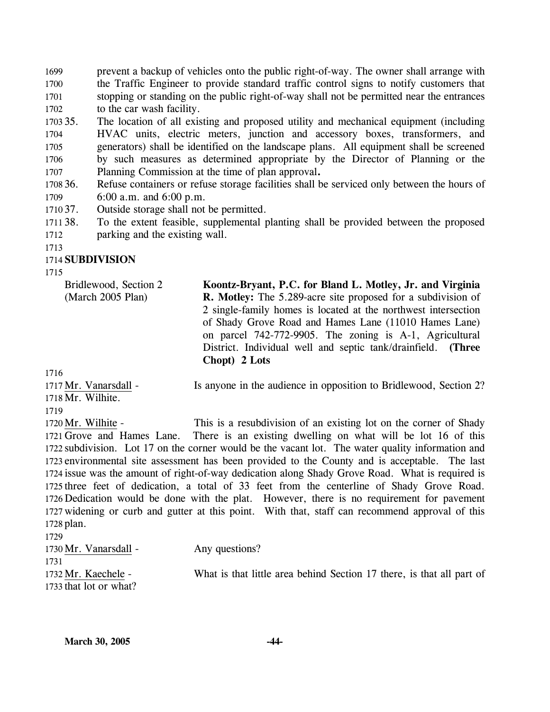1699 1700 1701 1702 prevent a backup of vehicles onto the public right-of-way. The owner shall arrange with the Traffic Engineer to provide standard traffic control signs to notify customers that stopping or standing on the public right-of-way shall not be permitted near the entrances to the car wash facility.

1703 35. 1704 1705 1706 1707 The location of all existing and proposed utility and mechanical equipment (including HVAC units, electric meters, junction and accessory boxes, transformers, and generators) shall be identified on the landscape plans. All equipment shall be screened by such measures as determined appropriate by the Director of Planning or the Planning Commission at the time of plan approval**.**

1708 36. 1709 Refuse containers or refuse storage facilities shall be serviced only between the hours of 6:00 a.m. and 6:00 p.m.

1710 37. 37. Outside storage shall not be permitted.

1711 38. 1712 38. To the extent feasible, supplemental planting shall be provided between the proposed parking and the existing wall.

1713

# 1714 **SUBDIVISION**

1715

Bridlewood, Section 2 (March 2005 Plan)

**Koontz-Bryant, P.C. for Bland L. Motley, Jr. and Virginia R. Motley:** The 5.289-acre site proposed for a subdivision of 2 single-family homes is located at the northwest intersection of Shady Grove Road and Hames Lane (11010 Hames Lane) on parcel 742-772-9905. The zoning is A-1, Agricultural District. Individual well and septic tank/drainfield. **(Three Chopt) 2 Lots** 

1716

1718 Mr. Wilhite. 1717 Mr. Vanarsdall -1719

Is anyone in the audience in opposition to Bridlewood, Section 2?

This is a resubdivision of an existing lot on the corner of Shady 1721 Grove and Hames Lane. There is an existing dwelling on what will be lot 16 of this 1722 subdivision. Lot 17 on the corner would be the vacant lot. The water quality information and 1723 environmental site assessment has been provided to the County and is acceptable. The last 1724 issue was the amount of right-of-way dedication along Shady Grove Road. What is required is 1725 three feet of dedication, a total of 33 feet from the centerline of Shady Grove Road. 1726 Dedication would be done with the plat. However, there is no requirement for pavement 1727 widening or curb and gutter at this point. With that, staff can recommend approval of this 1728 plan. 1720 Mr. Wilhite -

| 1729                                          |                                                                       |
|-----------------------------------------------|-----------------------------------------------------------------------|
| 1730 Mr. Vanarsdall -                         | Any questions?                                                        |
| 1731                                          |                                                                       |
| 1732 Mr. Kaechele -<br>1733 that lot or what? | What is that little area behind Section 17 there, is that all part of |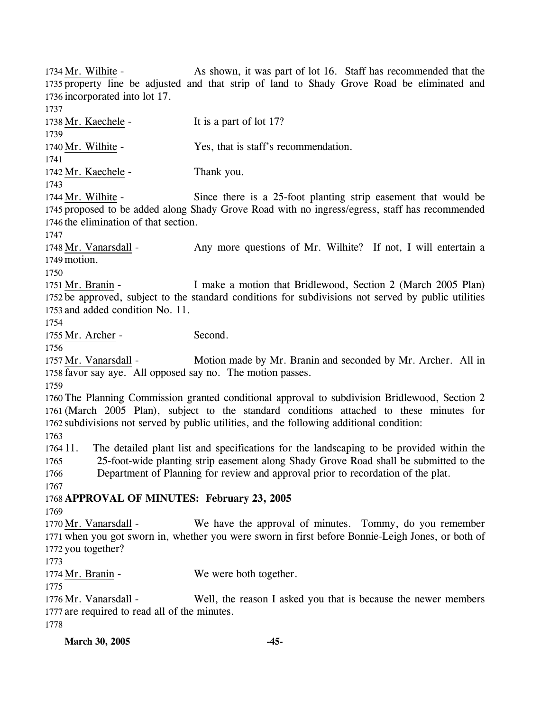As shown, it was part of lot 16. Staff has recommended that the 1735 property line be adjusted and that strip of land to Shady Grove Road be eliminated and 1736 incorporated into lot 17. 1734 Mr. Wilhite -1737 1738 Mr. Kaechele - It is a part of lot 17? 1739 1740 Mr. Wilhite - Yes, that is staff's recommendation. 1741 1742 Mr. Kaechele - Thank you. 1743 Since there is a 25-foot planting strip easement that would be 1745 proposed to be added along Shady Grove Road with no ingress/egress, staff has recommended 1746 the elimination of that section. 1744 Mr. Wilhite -1747 Any more questions of Mr. Wilhite? If not, I will entertain a 1749 motion. 1748 Mr. Vanarsdall -

1750

I make a motion that Bridlewood, Section 2 (March 2005 Plan) 1752 be approved, subject to the standard conditions for subdivisions not served by public utilities 1753 and added condition No. 11. 1751 Mr. Branin -

1754

1755 Mr. Archer - Second.

1756

Motion made by Mr. Branin and seconded by Mr. Archer. All in 1758 favor say aye. All opposed say no. The motion passes. 1757 Mr. Vanarsdall -

1759

 The Planning Commission granted conditional approval to subdivision Bridlewood, Section 2 (March 2005 Plan), subject to the standard conditions attached to these minutes for subdivisions not served by public utilities, and the following additional condition: 1763

1764 11. 1765 1766 11. The detailed plant list and specifications for the landscaping to be provided within the 25-foot-wide planting strip easement along Shady Grove Road shall be submitted to the Department of Planning for review and approval prior to recordation of the plat.

1767

### 1768 **APPROVAL OF MINUTES: February 23, 2005**

1769

We have the approval of minutes. Tommy, do you remember 1771 when you got sworn in, whether you were sworn in first before Bonnie-Leigh Jones, or both of 1772 you together? 1770 Mr. Vanarsdall -

1773

1774 Mr. Branin - We were both together.

1775

Well, the reason I asked you that is because the newer members 1777 are required to read all of the minutes. 1776 Mr. Vanarsdall -

1778

**March 30, 2005 -45-**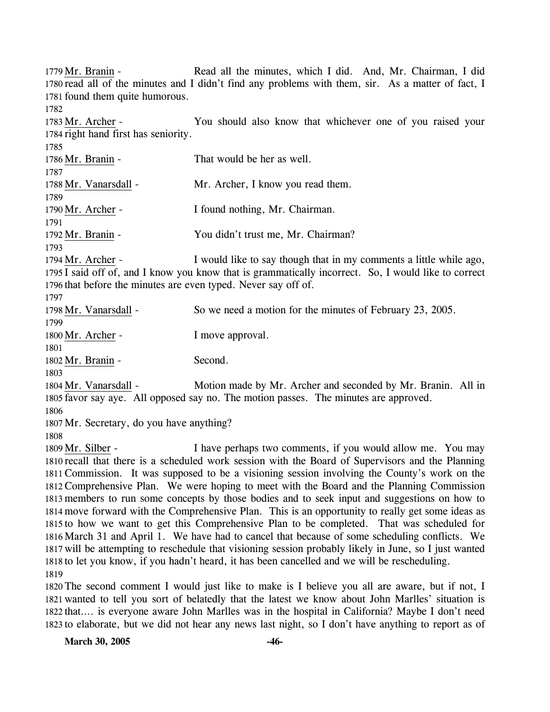Read all the minutes, which I did. And, Mr. Chairman, I did. 1780 read all of the minutes and I didn't find any problems with them, sir. As a matter of fact, I 1781 found them quite humorous. 1779 Mr. Branin -

1782

You should also know that whichever one of you raised your 1784 right hand first has seniority. 1783 Mr. Archer -

| 1785                  |                                                                   |
|-----------------------|-------------------------------------------------------------------|
| 1786 Mr. Branin -     | That would be her as well.                                        |
| 1787                  |                                                                   |
| 1788 Mr. Vanarsdall - | Mr. Archer, I know you read them.                                 |
| 1789                  |                                                                   |
| 1790 Mr. Archer -     | I found nothing, Mr. Chairman.                                    |
| 1791                  |                                                                   |
| 1792 Mr. Branin -     | You didn't trust me, Mr. Chairman?                                |
| 1793                  |                                                                   |
| $1794$ Mr. Archer -   | I would like to say though that in my comments a little while ago |

uld like to say though that in my comments a little while ago, 1795 I said off of, and I know you know that is grammatically incorrect. So, I would like to correct 1796 that before the minutes are even typed. Never say off of. 1794

| 1797                                               |                                                                                                                                                                                                                                   |  |
|----------------------------------------------------|-----------------------------------------------------------------------------------------------------------------------------------------------------------------------------------------------------------------------------------|--|
| 1798 Mr. Vanarsdall -                              | So we need a motion for the minutes of February 23, 2005.                                                                                                                                                                         |  |
| 1799                                               |                                                                                                                                                                                                                                   |  |
| 1800 Mr. Archer -                                  | I move approval.                                                                                                                                                                                                                  |  |
| 1801                                               |                                                                                                                                                                                                                                   |  |
| 1802 Mr. Branin -                                  | Second.                                                                                                                                                                                                                           |  |
| 1803                                               |                                                                                                                                                                                                                                   |  |
| 1804 Mr. Vanarsdall -                              | Motion made by Mr. Archer and seconded by Mr. Branin. All in                                                                                                                                                                      |  |
| $\mathbf{A}$<br>$\sim$ $\sim$ $\sim$ $\sim$ $\sim$ | $\mathbf{r}$ , and the contract of the contract of the contract of the contract of the contract of the contract of the contract of the contract of the contract of the contract of the contract of the contract of the contract o |  |

1805 favor say aye. All opposed say no. The motion passes. The minutes are approved.

1806

1807 Mr. Secretary, do you have anything?

1808

I have perhaps two comments, if you would allow me. You may 1810 recall that there is a scheduled work session with the Board of Supervisors and the Planning 1811 Commission. It was supposed to be a visioning session involving the County's work on the 1812 Comprehensive Plan. We were hoping to meet with the Board and the Planning Commission 1813 members to run some concepts by those bodies and to seek input and suggestions on how to 1814 move forward with the Comprehensive Plan. This is an opportunity to really get some ideas as 1815 to how we want to get this Comprehensive Plan to be completed. That was scheduled for 1816 March 31 and April 1. We have had to cancel that because of some scheduling conflicts. We 1817 will be attempting to reschedule that visioning session probably likely in June, so I just wanted 1818 to let you know, if you hadn't heard, it has been cancelled and we will be rescheduling. 1809 Mr. Silber -1819

 The second comment I would just like to make is I believe you all are aware, but if not, I wanted to tell you sort of belatedly that the latest we know about John Marlles' situation is that…. is everyone aware John Marlles was in the hospital in California? Maybe I don't need to elaborate, but we did not hear any news last night, so I don't have anything to report as of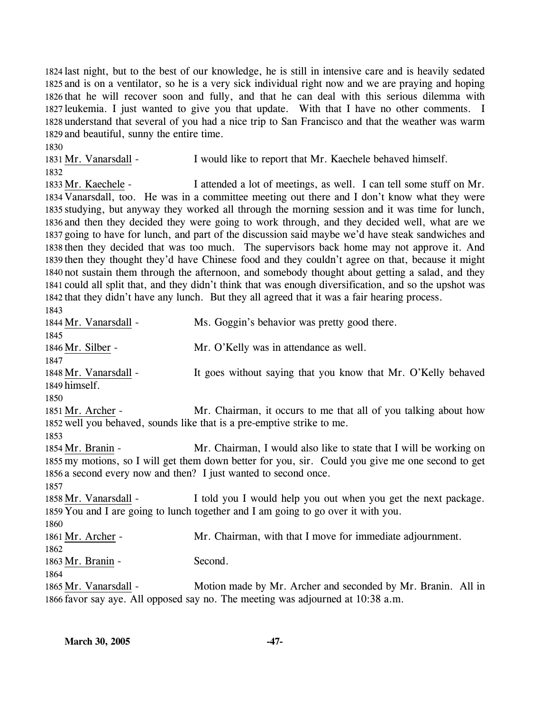last night, but to the best of our knowledge, he is still in intensive care and is heavily sedated and is on a ventilator, so he is a very sick individual right now and we are praying and hoping that he will recover soon and fully, and that he can deal with this serious dilemma with leukemia. I just wanted to give you that update. With that I have no other comments. I understand that several of you had a nice trip to San Francisco and that the weather was warm and beautiful, sunny the entire time.

1830 1831 Mr. Vanarsdall - I would like to report that Mr. Kaechele behaved himself. 1832

I attended a lot of meetings, as well. I can tell some stuff on Mr. 1834 Vanarsdall, too. He was in a committee meeting out there and I don't know what they were 1835 studying, but anyway they worked all through the morning session and it was time for lunch, 1836 and then they decided they were going to work through, and they decided well, what are we 1837 going to have for lunch, and part of the discussion said maybe we'd have steak sandwiches and 1838 then they decided that was too much. The supervisors back home may not approve it. And 1839 then they thought they'd have Chinese food and they couldn't agree on that, because it might 1840 not sustain them through the afternoon, and somebody thought about getting a salad, and they 1841 could all split that, and they didn't think that was enough diversification, and so the upshot was 1842 that they didn't have any lunch. But they all agreed that it was a fair hearing process. 1833 Mr. Kaechele -

1843 1844 Mr. Vanarsdall - Ms. Goggin's behavior was pretty good there. 1845 1846 Mr. Silber - Mr. O'Kelly was in attendance as well. 1847 It goes without saying that you know that Mr. O'Kelly behaved 1849 himself. 1848 Mr. Vanarsdall -1850 Mr. Chairman, it occurs to me that all of you talking about how 1852 well you behaved, sounds like that is a pre-emptive strike to me. 1851 Mr. Archer -1853 Mr. Chairman, I would also like to state that I will be working on 1855 my motions, so I will get them down better for you, sir. Could you give me one second to get 1856 a second every now and then? I just wanted to second once. 1854 Mr. Branin -1857 I told you I would help you out when you get the next package. 1859 You and I are going to lunch together and I am going to go over it with you. 1858 Mr. Vanarsdall -1860 1861 Mr. Archer - Mr. Chairman, with that I move for immediate adjournment. 1862 1863 Mr. Branin - Second. 1864 Motion made by Mr. Archer and seconded by Mr. Branin. All in 1866 favor say aye. All opposed say no. The meeting was adjourned at 10:38 a.m. 1865 Mr. Vanarsdall -